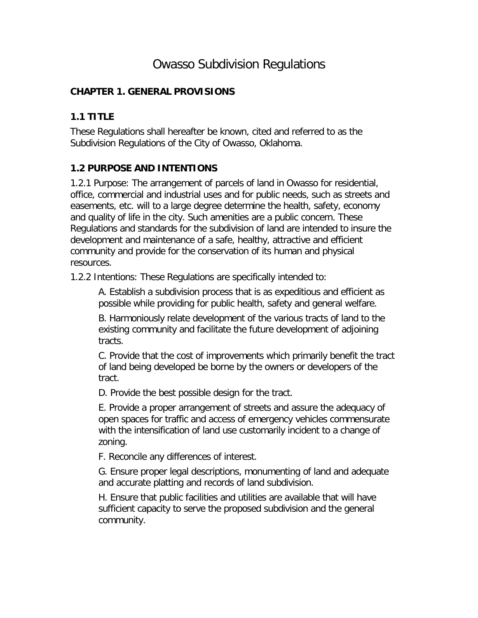# Owasso Subdivision Regulations

### **CHAPTER 1. GENERAL PROVISIONS**

### **1.1 TITLE**

These Regulations shall hereafter be known, cited and referred to as the Subdivision Regulations of the City of Owasso, Oklahoma.

## **1.2 PURPOSE AND INTENTIONS**

1.2.1 Purpose: The arrangement of parcels of land in Owasso for residential, office, commercial and industrial uses and for public needs, such as streets and easements, etc. will to a large degree determine the health, safety, economy and quality of life in the city. Such amenities are a public concern. These Regulations and standards for the subdivision of land are intended to insure the development and maintenance of a safe, healthy, attractive and efficient community and provide for the conservation of its human and physical resources.

1.2.2 Intentions: These Regulations are specifically intended to:

A. Establish a subdivision process that is as expeditious and efficient as possible while providing for public health, safety and general welfare.

B. Harmoniously relate development of the various tracts of land to the existing community and facilitate the future development of adjoining tracts.

C. Provide that the cost of improvements which primarily benefit the tract of land being developed be borne by the owners or developers of the tract.

D. Provide the best possible design for the tract.

E. Provide a proper arrangement of streets and assure the adequacy of open spaces for traffic and access of emergency vehicles commensurate with the intensification of land use customarily incident to a change of zoning.

F. Reconcile any differences of interest.

G. Ensure proper legal descriptions, monumenting of land and adequate and accurate platting and records of land subdivision.

H. Ensure that public facilities and utilities are available that will have sufficient capacity to serve the proposed subdivision and the general community.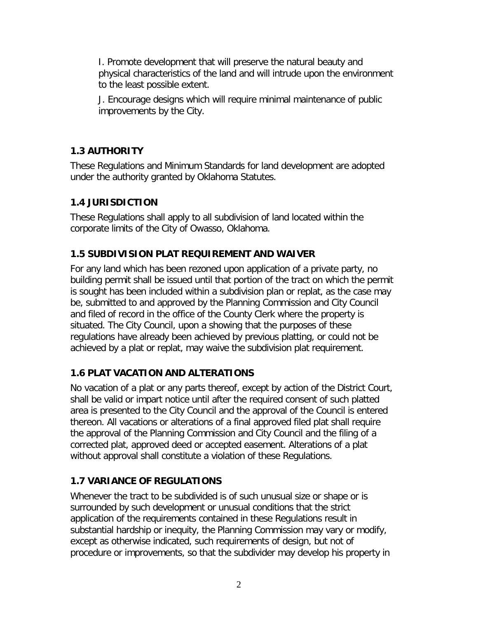I. Promote development that will preserve the natural beauty and physical characteristics of the land and will intrude upon the environment to the least possible extent.

J. Encourage designs which will require minimal maintenance of public improvements by the City.

## **1.3 AUTHORITY**

These Regulations and Minimum Standards for land development are adopted under the authority granted by Oklahoma Statutes.

## **1.4 JURISDICTION**

These Regulations shall apply to all subdivision of land located within the corporate limits of the City of Owasso, Oklahoma.

## **1.5 SUBDIVISION PLAT REQUIREMENT AND WAIVER**

For any land which has been rezoned upon application of a private party, no building permit shall be issued until that portion of the tract on which the permit is sought has been included within a subdivision plan or replat, as the case may be, submitted to and approved by the Planning Commission and City Council and filed of record in the office of the County Clerk where the property is situated. The City Council, upon a showing that the purposes of these regulations have already been achieved by previous platting, or could not be achieved by a plat or replat, may waive the subdivision plat requirement.

## **1.6 PLAT VACATION AND ALTERATIONS**

No vacation of a plat or any parts thereof, except by action of the District Court, shall be valid or impart notice until after the required consent of such platted area is presented to the City Council and the approval of the Council is entered thereon. All vacations or alterations of a final approved filed plat shall require the approval of the Planning Commission and City Council and the filing of a corrected plat, approved deed or accepted easement. Alterations of a plat without approval shall constitute a violation of these Regulations.

## **1.7 VARIANCE OF REGULATIONS**

Whenever the tract to be subdivided is of such unusual size or shape or is surrounded by such development or unusual conditions that the strict application of the requirements contained in these Regulations result in substantial hardship or inequity, the Planning Commission may vary or modify, except as otherwise indicated, such requirements of design, but not of procedure or improvements, so that the subdivider may develop his property in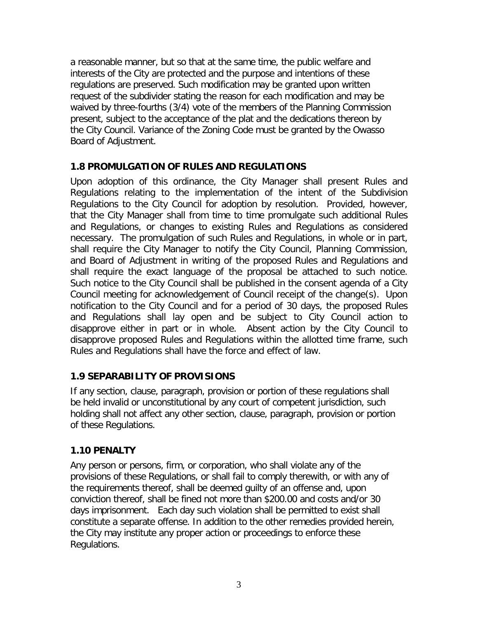a reasonable manner, but so that at the same time, the public welfare and interests of the City are protected and the purpose and intentions of these regulations are preserved. Such modification may be granted upon written request of the subdivider stating the reason for each modification and may be waived by three-fourths (3/4) vote of the members of the Planning Commission present, subject to the acceptance of the plat and the dedications thereon by the City Council. Variance of the Zoning Code must be granted by the Owasso Board of Adjustment.

### **1.8 PROMULGATION OF RULES AND REGULATIONS**

Upon adoption of this ordinance, the City Manager shall present Rules and Regulations relating to the implementation of the intent of the Subdivision Regulations to the City Council for adoption by resolution. Provided, however, that the City Manager shall from time to time promulgate such additional Rules and Regulations, or changes to existing Rules and Regulations as considered necessary. The promulgation of such Rules and Regulations, in whole or in part, shall require the City Manager to notify the City Council, Planning Commission, and Board of Adjustment in writing of the proposed Rules and Regulations and shall require the exact language of the proposal be attached to such notice. Such notice to the City Council shall be published in the consent agenda of a City Council meeting for acknowledgement of Council receipt of the change(s). Upon notification to the City Council and for a period of 30 days, the proposed Rules and Regulations shall lay open and be subject to City Council action to disapprove either in part or in whole. Absent action by the City Council to disapprove proposed Rules and Regulations within the allotted time frame, such Rules and Regulations shall have the force and effect of law.

## **1.9 SEPARABILITY OF PROVISIONS**

If any section, clause, paragraph, provision or portion of these regulations shall be held invalid or unconstitutional by any court of competent jurisdiction, such holding shall not affect any other section, clause, paragraph, provision or portion of these Regulations.

## **1.10 PENALTY**

Any person or persons, firm, or corporation, who shall violate any of the provisions of these Regulations, or shall fail to comply therewith, or with any of the requirements thereof, shall be deemed guilty of an offense and, upon conviction thereof, shall be fined not more than \$200.00 and costs and/or 30 days imprisonment. Each day such violation shall be permitted to exist shall constitute a separate offense. In addition to the other remedies provided herein, the City may institute any proper action or proceedings to enforce these Regulations.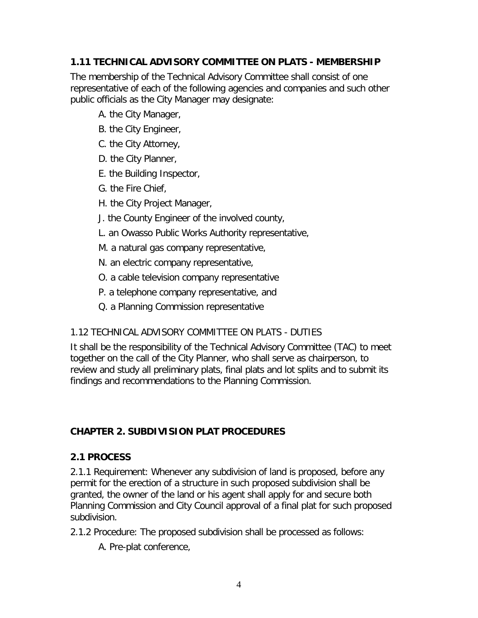## **1.11 TECHNICAL ADVISORY COMMITTEE ON PLATS - MEMBERSHIP**

The membership of the Technical Advisory Committee shall consist of one representative of each of the following agencies and companies and such other public officials as the City Manager may designate:

- A. the City Manager,
- B. the City Engineer,
- C. the City Attorney,
- D. the City Planner,
- E. the Building Inspector,
- G. the Fire Chief,
- H. the City Project Manager,
- J. the County Engineer of the involved county,
- L. an Owasso Public Works Authority representative,
- M. a natural gas company representative,
- N. an electric company representative,
- O. a cable television company representative
- P. a telephone company representative, and
- Q. a Planning Commission representative

## 1.12 TECHNICAL ADVISORY COMMITTEE ON PLATS - DUTIES

It shall be the responsibility of the Technical Advisory Committee (TAC) to meet together on the call of the City Planner, who shall serve as chairperson, to review and study all preliminary plats, final plats and lot splits and to submit its findings and recommendations to the Planning Commission.

## **CHAPTER 2. SUBDIVISION PLAT PROCEDURES**

### **2.1 PROCESS**

2.1.1 Requirement: Whenever any subdivision of land is proposed, before any permit for the erection of a structure in such proposed subdivision shall be granted, the owner of the land or his agent shall apply for and secure both Planning Commission and City Council approval of a final plat for such proposed subdivision.

- 2.1.2 Procedure: The proposed subdivision shall be processed as follows:
	- A. Pre-plat conference,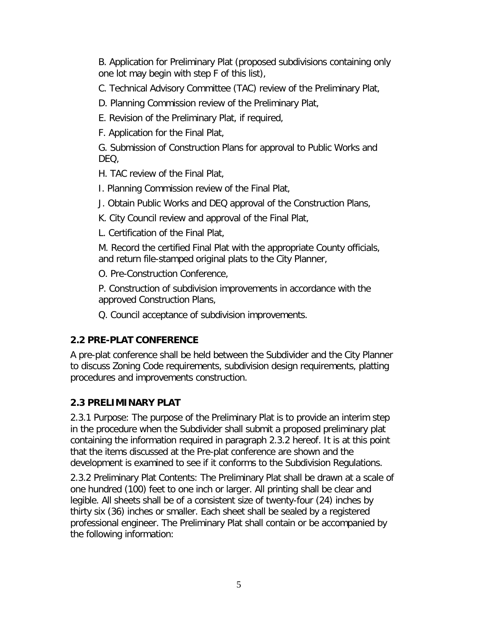B. Application for Preliminary Plat (proposed subdivisions containing only one lot may begin with step F of this list),

C. Technical Advisory Committee (TAC) review of the Preliminary Plat,

D. Planning Commission review of the Preliminary Plat,

E. Revision of the Preliminary Plat, if required,

F. Application for the Final Plat,

G. Submission of Construction Plans for approval to Public Works and DEQ,

H. TAC review of the Final Plat,

I. Planning Commission review of the Final Plat,

J. Obtain Public Works and DEQ approval of the Construction Plans,

K. City Council review and approval of the Final Plat,

L. Certification of the Final Plat,

M. Record the certified Final Plat with the appropriate County officials, and return file-stamped original plats to the City Planner,

O. Pre-Construction Conference,

P. Construction of subdivision improvements in accordance with the approved Construction Plans,

Q. Council acceptance of subdivision improvements.

# **2.2 PRE-PLAT CONFERENCE**

A pre-plat conference shall be held between the Subdivider and the City Planner to discuss Zoning Code requirements, subdivision design requirements, platting procedures and improvements construction.

# **2.3 PRELIMINARY PLAT**

2.3.1 Purpose: The purpose of the Preliminary Plat is to provide an interim step in the procedure when the Subdivider shall submit a proposed preliminary plat containing the information required in paragraph 2.3.2 hereof. It is at this point that the items discussed at the Pre-plat conference are shown and the development is examined to see if it conforms to the Subdivision Regulations.

2.3.2 Preliminary Plat Contents: The Preliminary Plat shall be drawn at a scale of one hundred (100) feet to one inch or larger. All printing shall be clear and legible. All sheets shall be of a consistent size of twenty-four (24) inches by thirty six (36) inches or smaller. Each sheet shall be sealed by a registered professional engineer. The Preliminary Plat shall contain or be accompanied by the following information: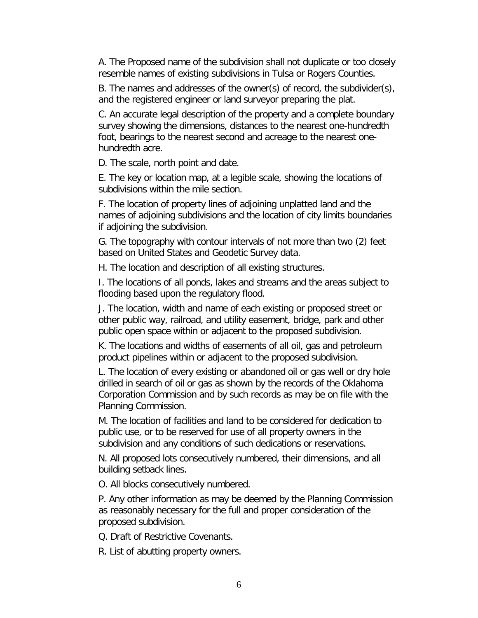A. The Proposed name of the subdivision shall not duplicate or too closely resemble names of existing subdivisions in Tulsa or Rogers Counties.

B. The names and addresses of the owner(s) of record, the subdivider(s), and the registered engineer or land surveyor preparing the plat.

C. An accurate legal description of the property and a complete boundary survey showing the dimensions, distances to the nearest one-hundredth foot, bearings to the nearest second and acreage to the nearest onehundredth acre.

D. The scale, north point and date.

E. The key or location map, at a legible scale, showing the locations of subdivisions within the mile section.

F. The location of property lines of adjoining unplatted land and the names of adjoining subdivisions and the location of city limits boundaries if adjoining the subdivision.

G. The topography with contour intervals of not more than two (2) feet based on United States and Geodetic Survey data.

H. The location and description of all existing structures.

I. The locations of all ponds, lakes and streams and the areas subject to flooding based upon the regulatory flood.

J. The location, width and name of each existing or proposed street or other public way, railroad, and utility easement, bridge, park and other public open space within or adjacent to the proposed subdivision.

K. The locations and widths of easements of all oil, gas and petroleum product pipelines within or adjacent to the proposed subdivision.

L. The location of every existing or abandoned oil or gas well or dry hole drilled in search of oil or gas as shown by the records of the Oklahoma Corporation Commission and by such records as may be on file with the Planning Commission.

M. The location of facilities and land to be considered for dedication to public use, or to be reserved for use of all property owners in the subdivision and any conditions of such dedications or reservations.

N. All proposed lots consecutively numbered, their dimensions, and all building setback lines.

O. All blocks consecutively numbered.

P. Any other information as may be deemed by the Planning Commission as reasonably necessary for the full and proper consideration of the proposed subdivision.

Q. Draft of Restrictive Covenants.

R. List of abutting property owners.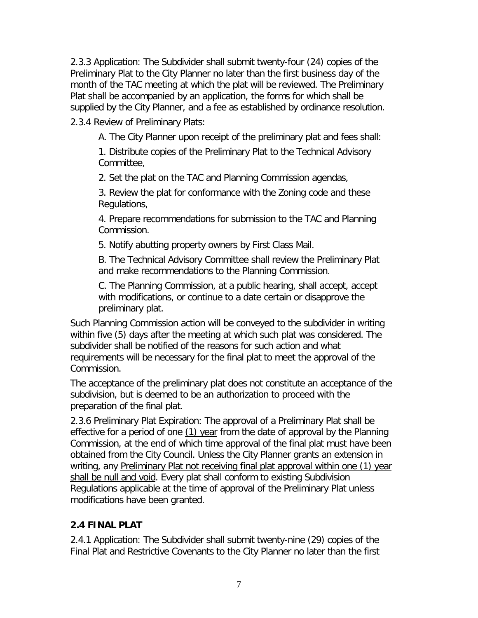2.3.3 Application: The Subdivider shall submit twenty-four (24) copies of the Preliminary Plat to the City Planner no later than the first business day of the month of the TAC meeting at which the plat will be reviewed. The Preliminary Plat shall be accompanied by an application, the forms for which shall be supplied by the City Planner, and a fee as established by ordinance resolution.

2.3.4 Review of Preliminary Plats:

A. The City Planner upon receipt of the preliminary plat and fees shall:

1. Distribute copies of the Preliminary Plat to the Technical Advisory Committee,

2. Set the plat on the TAC and Planning Commission agendas,

3. Review the plat for conformance with the Zoning code and these Regulations,

4. Prepare recommendations for submission to the TAC and Planning Commission.

5. Notify abutting property owners by First Class Mail.

B. The Technical Advisory Committee shall review the Preliminary Plat and make recommendations to the Planning Commission.

C. The Planning Commission, at a public hearing, shall accept, accept with modifications, or continue to a date certain or disapprove the preliminary plat.

Such Planning Commission action will be conveyed to the subdivider in writing within five (5) days after the meeting at which such plat was considered. The subdivider shall be notified of the reasons for such action and what requirements will be necessary for the final plat to meet the approval of the Commission.

The acceptance of the preliminary plat does not constitute an acceptance of the subdivision, but is deemed to be an authorization to proceed with the preparation of the final plat.

2.3.6 Preliminary Plat Expiration: The approval of a Preliminary Plat shall be effective for a period of one  $(1)$  year from the date of approval by the Planning Commission, at the end of which time approval of the final plat must have been obtained from the City Council. Unless the City Planner grants an extension in writing, any Preliminary Plat not receiving final plat approval within one (1) year shall be null and void. Every plat shall conform to existing Subdivision Regulations applicable at the time of approval of the Preliminary Plat unless modifications have been granted.

### **2.4 FINAL PLAT**

2.4.1 Application: The Subdivider shall submit twenty-nine (29) copies of the Final Plat and Restrictive Covenants to the City Planner no later than the first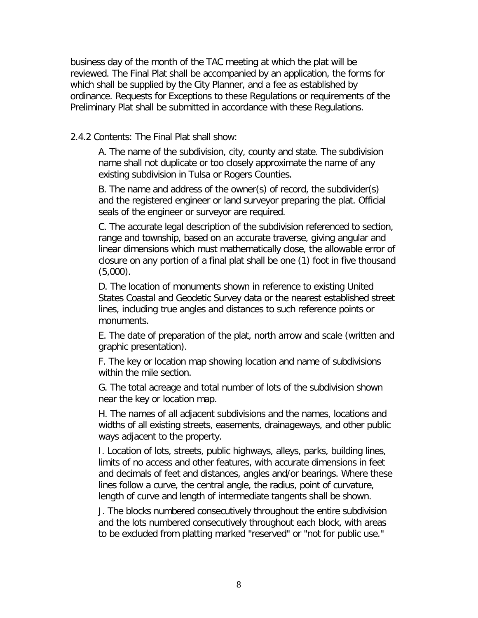business day of the month of the TAC meeting at which the plat will be reviewed. The Final Plat shall be accompanied by an application, the forms for which shall be supplied by the City Planner, and a fee as established by ordinance. Requests for Exceptions to these Regulations or requirements of the Preliminary Plat shall be submitted in accordance with these Regulations.

2.4.2 Contents: The Final Plat shall show:

A. The name of the subdivision, city, county and state. The subdivision name shall not duplicate or too closely approximate the name of any existing subdivision in Tulsa or Rogers Counties.

B. The name and address of the owner(s) of record, the subdivider(s) and the registered engineer or land surveyor preparing the plat. Official seals of the engineer or surveyor are required.

C. The accurate legal description of the subdivision referenced to section, range and township, based on an accurate traverse, giving angular and linear dimensions which must mathematically close, the allowable error of closure on any portion of a final plat shall be one (1) foot in five thousand  $(5,000)$ .

D. The location of monuments shown in reference to existing United States Coastal and Geodetic Survey data or the nearest established street lines, including true angles and distances to such reference points or monuments.

E. The date of preparation of the plat, north arrow and scale (written and graphic presentation).

F. The key or location map showing location and name of subdivisions within the mile section.

G. The total acreage and total number of lots of the subdivision shown near the key or location map.

H. The names of all adjacent subdivisions and the names, locations and widths of all existing streets, easements, drainageways, and other public ways adjacent to the property.

I. Location of lots, streets, public highways, alleys, parks, building lines, limits of no access and other features, with accurate dimensions in feet and decimals of feet and distances, angles and/or bearings. Where these lines follow a curve, the central angle, the radius, point of curvature, length of curve and length of intermediate tangents shall be shown.

J. The blocks numbered consecutively throughout the entire subdivision and the lots numbered consecutively throughout each block, with areas to be excluded from platting marked "reserved" or "not for public use."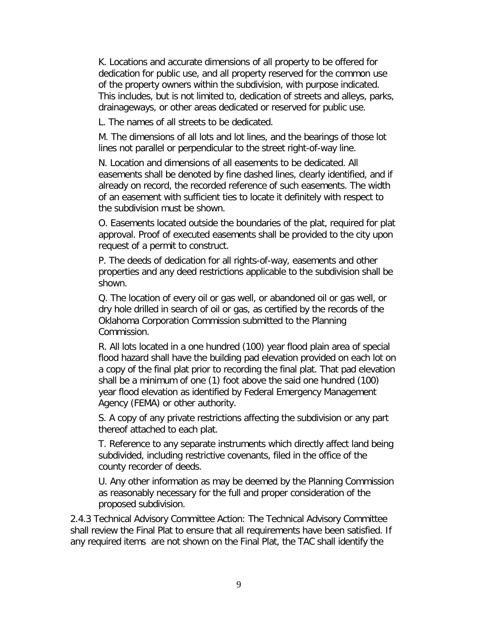K. Locations and accurate dimensions of all property to be offered for dedication for public use, and all property reserved for the common use of the property owners within the subdivision, with purpose indicated. This includes, but is not limited to, dedication of streets and alleys, parks, drainageways, or other areas dedicated or reserved for public use.

L. The names of all streets to be dedicated.

M. The dimensions of all lots and lot lines, and the bearings of those lot lines not parallel or perpendicular to the street right-of-way line.

N. Location and dimensions of all easements to be dedicated. All easements shall be denoted by fine dashed lines, clearly identified, and if already on record, the recorded reference of such easements. The width of an easement with sufficient ties to locate it definitely with respect to the subdivision must be shown.

O. Easements located outside the boundaries of the plat, required for plat approval. Proof of executed easements shall be provided to the city upon request of a permit to construct.

P. The deeds of dedication for all rights-of-way, easements and other properties and any deed restrictions applicable to the subdivision shall be shown.

Q. The location of every oil or gas well, or abandoned oil or gas well, or dry hole drilled in search of oil or gas, as certified by the records of the Oklahoma Corporation Commission submitted to the Planning Commission.

R. All lots located in a one hundred (100) year flood plain area of special flood hazard shall have the building pad elevation provided on each lot on a copy of the final plat prior to recording the final plat. That pad elevation shall be a minimum of one (1) foot above the said one hundred (100) year flood elevation as identified by Federal Emergency Management Agency (FEMA) or other authority.

S. A copy of any private restrictions affecting the subdivision or any part thereof attached to each plat.

T. Reference to any separate instruments which directly affect land being subdivided, including restrictive covenants, filed in the office of the county recorder of deeds.

U. Any other information as may be deemed by the Planning Commission as reasonably necessary for the full and proper consideration of the proposed subdivision.

2.4.3 Technical Advisory Committee Action: The Technical Advisory Committee shall review the Final Plat to ensure that all requirements have been satisfied. If any required items are not shown on the Final Plat, the TAC shall identify the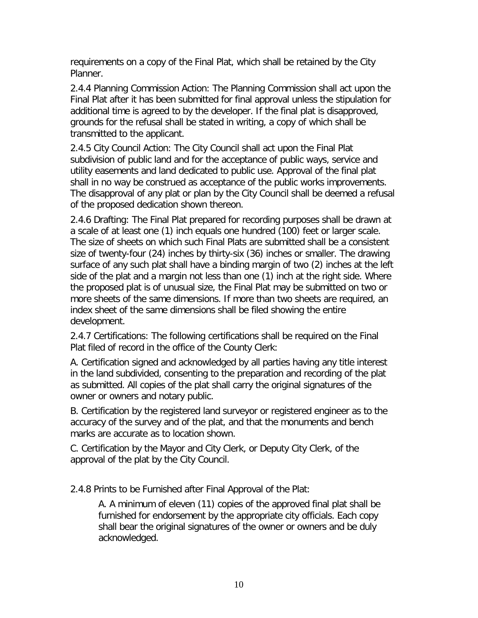requirements on a copy of the Final Plat, which shall be retained by the City Planner.

2.4.4 Planning Commission Action: The Planning Commission shall act upon the Final Plat after it has been submitted for final approval unless the stipulation for additional time is agreed to by the developer. If the final plat is disapproved, grounds for the refusal shall be stated in writing, a copy of which shall be transmitted to the applicant.

2.4.5 City Council Action: The City Council shall act upon the Final Plat subdivision of public land and for the acceptance of public ways, service and utility easements and land dedicated to public use. Approval of the final plat shall in no way be construed as acceptance of the public works improvements. The disapproval of any plat or plan by the City Council shall be deemed a refusal of the proposed dedication shown thereon.

2.4.6 Drafting: The Final Plat prepared for recording purposes shall be drawn at a scale of at least one (1) inch equals one hundred (100) feet or larger scale. The size of sheets on which such Final Plats are submitted shall be a consistent size of twenty-four (24) inches by thirty-six (36) inches or smaller. The drawing surface of any such plat shall have a binding margin of two (2) inches at the left side of the plat and a margin not less than one (1) inch at the right side. Where the proposed plat is of unusual size, the Final Plat may be submitted on two or more sheets of the same dimensions. If more than two sheets are required, an index sheet of the same dimensions shall be filed showing the entire development.

2.4.7 Certifications: The following certifications shall be required on the Final Plat filed of record in the office of the County Clerk:

A. Certification signed and acknowledged by all parties having any title interest in the land subdivided, consenting to the preparation and recording of the plat as submitted. All copies of the plat shall carry the original signatures of the owner or owners and notary public.

B. Certification by the registered land surveyor or registered engineer as to the accuracy of the survey and of the plat, and that the monuments and bench marks are accurate as to location shown.

C. Certification by the Mayor and City Clerk, or Deputy City Clerk, of the approval of the plat by the City Council.

2.4.8 Prints to be Furnished after Final Approval of the Plat:

A. A minimum of eleven (11) copies of the approved final plat shall be furnished for endorsement by the appropriate city officials. Each copy shall bear the original signatures of the owner or owners and be duly acknowledged.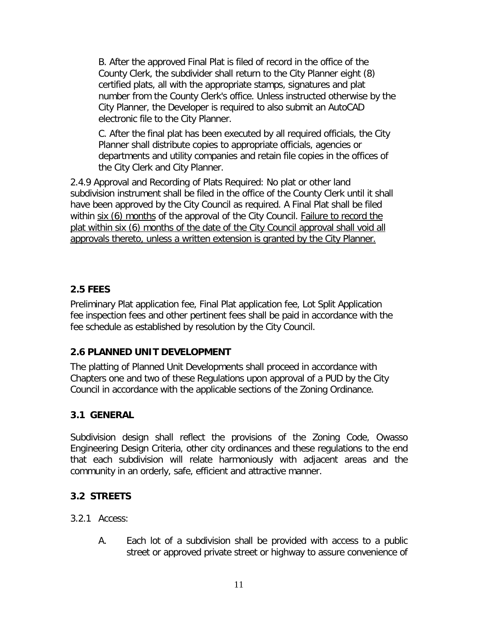B. After the approved Final Plat is filed of record in the office of the County Clerk, the subdivider shall return to the City Planner eight (8) certified plats, all with the appropriate stamps, signatures and plat number from the County Clerk's office. Unless instructed otherwise by the City Planner, the Developer is required to also submit an AutoCAD electronic file to the City Planner.

C. After the final plat has been executed by all required officials, the City Planner shall distribute copies to appropriate officials, agencies or departments and utility companies and retain file copies in the offices of the City Clerk and City Planner.

2.4.9 Approval and Recording of Plats Required: No plat or other land subdivision instrument shall be filed in the office of the County Clerk until it shall have been approved by the City Council as required. A Final Plat shall be filed within six (6) months of the approval of the City Council. Failure to record the plat within six (6) months of the date of the City Council approval shall void all approvals thereto, unless a written extension is granted by the City Planner.

## **2.5 FEES**

Preliminary Plat application fee, Final Plat application fee, Lot Split Application fee inspection fees and other pertinent fees shall be paid in accordance with the fee schedule as established by resolution by the City Council.

## **2.6 PLANNED UNIT DEVELOPMENT**

The platting of Planned Unit Developments shall proceed in accordance with Chapters one and two of these Regulations upon approval of a PUD by the City Council in accordance with the applicable sections of the Zoning Ordinance.

### **3.1 GENERAL**

Subdivision design shall reflect the provisions of the Zoning Code, Owasso Engineering Design Criteria, other city ordinances and these regulations to the end that each subdivision will relate harmoniously with adjacent areas and the community in an orderly, safe, efficient and attractive manner.

## **3.2 STREETS**

### 3.2.1 Access:

A. Each lot of a subdivision shall be provided with access to a public street or approved private street or highway to assure convenience of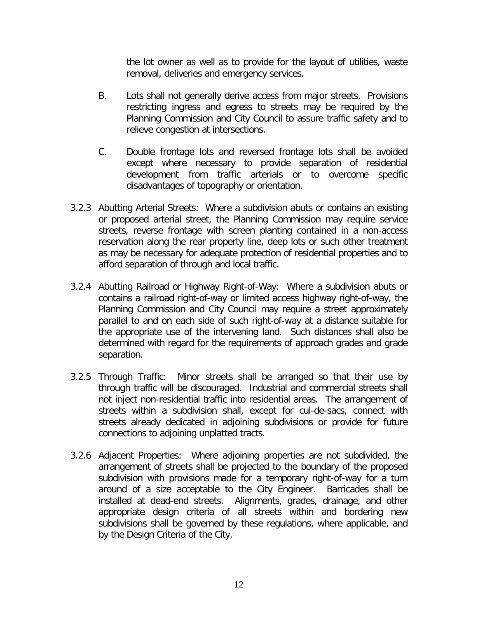the lot owner as well as to provide for the layout of utilities, waste removal, deliveries and emergency services.

- B. Lots shall not generally derive access from major streets. Provisions restricting ingress and egress to streets may be required by the Planning Commission and City Council to assure traffic safety and to relieve congestion at intersections.
- C. Double frontage lots and reversed frontage lots shall be avoided except where necessary to provide separation of residential development from traffic arterials or to overcome specific disadvantages of topography or orientation.
- 3.2.3 Abutting Arterial Streets: Where a subdivision abuts or contains an existing or proposed arterial street, the Planning Commission may require service streets, reverse frontage with screen planting contained in a non-access reservation along the rear property line, deep lots or such other treatment as may be necessary for adequate protection of residential properties and to afford separation of through and local traffic.
- 3.2.4 Abutting Railroad or Highway Right-of-Way: Where a subdivision abuts or contains a railroad right-of-way or limited access highway right-of-way, the Planning Commission and City Council may require a street approximately parallel to and on each side of such right-of-way at a distance suitable for the appropriate use of the intervening land. Such distances shall also be determined with regard for the requirements of approach grades and grade separation.
- 3.2.5 Through Traffic: Minor streets shall be arranged so that their use by through traffic will be discouraged. Industrial and commercial streets shall not inject non-residential traffic into residential areas. The arrangement of streets within a subdivision shall, except for cul-de-sacs, connect with streets already dedicated in adjoining subdivisions or provide for future connections to adjoining unplatted tracts.
- 3.2.6 Adjacent Properties: Where adjoining properties are not subdivided, the arrangement of streets shall be projected to the boundary of the proposed subdivision with provisions made for a temporary right-of-way for a turn around of a size acceptable to the City Engineer. Barricades shall be installed at dead-end streets. Alignments, grades, drainage, and other appropriate design criteria of all streets within and bordering new subdivisions shall be governed by these regulations, where applicable, and by the Design Criteria of the City.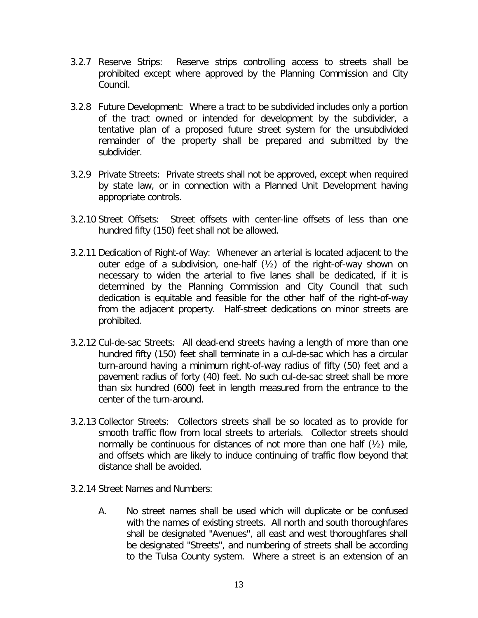- 3.2.7 Reserve Strips: Reserve strips controlling access to streets shall be prohibited except where approved by the Planning Commission and City Council.
- 3.2.8 Future Development: Where a tract to be subdivided includes only a portion of the tract owned or intended for development by the subdivider, a tentative plan of a proposed future street system for the unsubdivided remainder of the property shall be prepared and submitted by the subdivider.
- 3.2.9 Private Streets: Private streets shall not be approved, except when required by state law, or in connection with a Planned Unit Development having appropriate controls.
- 3.2.10 Street Offsets: Street offsets with center-line offsets of less than one hundred fifty (150) feet shall not be allowed.
- 3.2.11 Dedication of Right-of Way: Whenever an arterial is located adjacent to the outer edge of a subdivision, one-half (½) of the right-of-way shown on necessary to widen the arterial to five lanes shall be dedicated, if it is determined by the Planning Commission and City Council that such dedication is equitable and feasible for the other half of the right-of-way from the adjacent property. Half-street dedications on minor streets are prohibited.
- 3.2.12 Cul-de-sac Streets: All dead-end streets having a length of more than one hundred fifty (150) feet shall terminate in a cul-de-sac which has a circular turn-around having a minimum right-of-way radius of fifty (50) feet and a pavement radius of forty (40) feet. No such cul-de-sac street shall be more than six hundred (600) feet in length measured from the entrance to the center of the turn-around.
- 3.2.13 Collector Streets: Collectors streets shall be so located as to provide for smooth traffic flow from local streets to arterials. Collector streets should normally be continuous for distances of not more than one half (½) mile, and offsets which are likely to induce continuing of traffic flow beyond that distance shall be avoided.
- 3.2.14 Street Names and Numbers:
	- A. No street names shall be used which will duplicate or be confused with the names of existing streets. All north and south thoroughfares shall be designated "Avenues", all east and west thoroughfares shall be designated "Streets", and numbering of streets shall be according to the Tulsa County system. Where a street is an extension of an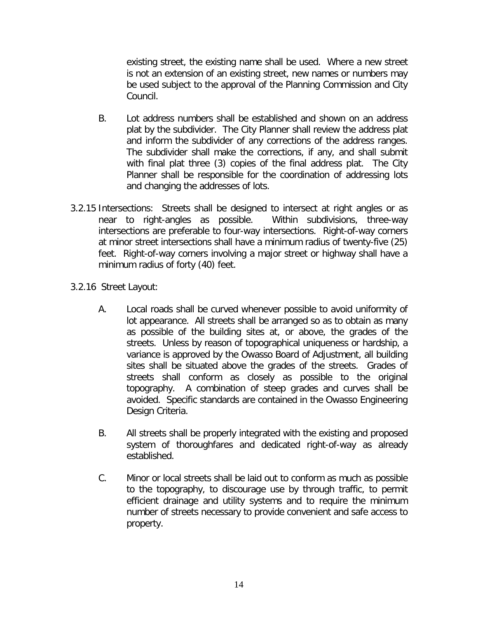existing street, the existing name shall be used. Where a new street is not an extension of an existing street, new names or numbers may be used subject to the approval of the Planning Commission and City Council.

- B. Lot address numbers shall be established and shown on an address plat by the subdivider. The City Planner shall review the address plat and inform the subdivider of any corrections of the address ranges. The subdivider shall make the corrections, if any, and shall submit with final plat three (3) copies of the final address plat. The City Planner shall be responsible for the coordination of addressing lots and changing the addresses of lots.
- 3.2.15 Intersections: Streets shall be designed to intersect at right angles or as near to right-angles as possible. Within subdivisions, three-way intersections are preferable to four-way intersections. Right-of-way corners at minor street intersections shall have a minimum radius of twenty-five (25) feet. Right-of-way corners involving a major street or highway shall have a minimum radius of forty (40) feet.
- 3.2.16 Street Layout:
	- A. Local roads shall be curved whenever possible to avoid uniformity of lot appearance. All streets shall be arranged so as to obtain as many as possible of the building sites at, or above, the grades of the streets. Unless by reason of topographical uniqueness or hardship, a variance is approved by the Owasso Board of Adjustment, all building sites shall be situated above the grades of the streets. Grades of streets shall conform as closely as possible to the original topography. A combination of steep grades and curves shall be avoided. Specific standards are contained in the Owasso Engineering Design Criteria.
	- B. All streets shall be properly integrated with the existing and proposed system of thoroughfares and dedicated right-of-way as already established.
	- C. Minor or local streets shall be laid out to conform as much as possible to the topography, to discourage use by through traffic, to permit efficient drainage and utility systems and to require the minimum number of streets necessary to provide convenient and safe access to property.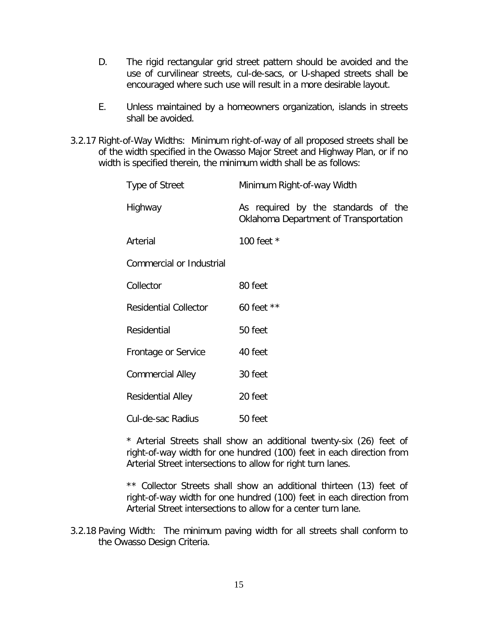- D. The rigid rectangular grid street pattern should be avoided and the use of curvilinear streets, cul-de-sacs, or U-shaped streets shall be encouraged where such use will result in a more desirable layout.
- E. Unless maintained by a homeowners organization, islands in streets shall be avoided.
- 3.2.17 Right-of-Way Widths: Minimum right-of-way of all proposed streets shall be of the width specified in the Owasso Major Street and Highway Plan, or if no width is specified therein, the minimum width shall be as follows:

| Type of Street                  | Minimum Right-of-way Width                                                   |
|---------------------------------|------------------------------------------------------------------------------|
| Highway                         | As required by the standards of the<br>Oklahoma Department of Transportation |
| Arterial                        | 100 feet *                                                                   |
| <b>Commercial or Industrial</b> |                                                                              |
| Collector                       | 80 feet                                                                      |
| <b>Residential Collector</b>    | 60 feet $**$                                                                 |
| Residential                     | 50 feet                                                                      |
| Frontage or Service             | 40 feet                                                                      |
| <b>Commercial Alley</b>         | 30 feet                                                                      |
| <b>Residential Alley</b>        | 20 feet                                                                      |
| Cul-de-sac Radius               | 50 feet                                                                      |

\* Arterial Streets shall show an additional twenty-six (26) feet of right-of-way width for one hundred (100) feet in each direction from Arterial Street intersections to allow for right turn lanes.

\*\* Collector Streets shall show an additional thirteen (13) feet of right-of-way width for one hundred (100) feet in each direction from Arterial Street intersections to allow for a center turn lane.

3.2.18 Paving Width: The minimum paving width for all streets shall conform to the Owasso Design Criteria.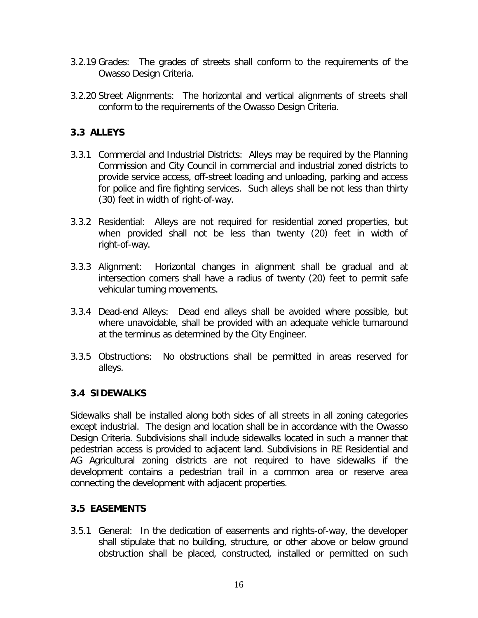- 3.2.19 Grades: The grades of streets shall conform to the requirements of the Owasso Design Criteria.
- 3.2.20 Street Alignments: The horizontal and vertical alignments of streets shall conform to the requirements of the Owasso Design Criteria.

## **3.3 ALLEYS**

- 3.3.1 Commercial and Industrial Districts: Alleys may be required by the Planning Commission and City Council in commercial and industrial zoned districts to provide service access, off-street loading and unloading, parking and access for police and fire fighting services. Such alleys shall be not less than thirty (30) feet in width of right-of-way.
- 3.3.2 Residential: Alleys are not required for residential zoned properties, but when provided shall not be less than twenty (20) feet in width of right-of-way.
- 3.3.3 Alignment: Horizontal changes in alignment shall be gradual and at intersection corners shall have a radius of twenty (20) feet to permit safe vehicular turning movements.
- 3.3.4 Dead-end Alleys: Dead end alleys shall be avoided where possible, but where unavoidable, shall be provided with an adequate vehicle turnaround at the terminus as determined by the City Engineer.
- 3.3.5 Obstructions: No obstructions shall be permitted in areas reserved for alleys.

### **3.4 SIDEWALKS**

Sidewalks shall be installed along both sides of all streets in all zoning categories except industrial. The design and location shall be in accordance with the Owasso Design Criteria. Subdivisions shall include sidewalks located in such a manner that pedestrian access is provided to adjacent land. Subdivisions in RE Residential and AG Agricultural zoning districts are not required to have sidewalks if the development contains a pedestrian trail in a common area or reserve area connecting the development with adjacent properties.

### **3.5 EASEMENTS**

3.5.1 General: In the dedication of easements and rights-of-way, the developer shall stipulate that no building, structure, or other above or below ground obstruction shall be placed, constructed, installed or permitted on such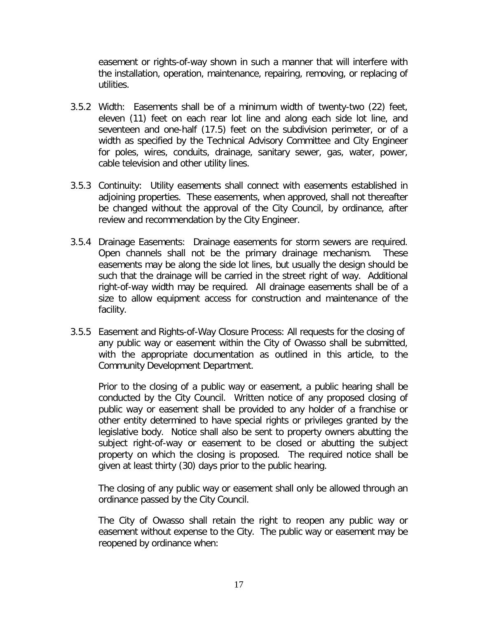easement or rights-of-way shown in such a manner that will interfere with the installation, operation, maintenance, repairing, removing, or replacing of utilities.

- 3.5.2 Width: Easements shall be of a minimum width of twenty-two (22) feet, eleven (11) feet on each rear lot line and along each side lot line, and seventeen and one-half (17.5) feet on the subdivision perimeter, or of a width as specified by the Technical Advisory Committee and City Engineer for poles, wires, conduits, drainage, sanitary sewer, gas, water, power, cable television and other utility lines.
- 3.5.3 Continuity: Utility easements shall connect with easements established in adjoining properties. These easements, when approved, shall not thereafter be changed without the approval of the City Council, by ordinance, after review and recommendation by the City Engineer.
- 3.5.4 Drainage Easements: Drainage easements for storm sewers are required. Open channels shall not be the primary drainage mechanism. These easements may be along the side lot lines, but usually the design should be such that the drainage will be carried in the street right of way. Additional right-of-way width may be required. All drainage easements shall be of a size to allow equipment access for construction and maintenance of the facility.
- 3.5.5 Easement and Rights-of-Way Closure Process: All requests for the closing of any public way or easement within the City of Owasso shall be submitted, with the appropriate documentation as outlined in this article, to the Community Development Department.

Prior to the closing of a public way or easement, a public hearing shall be conducted by the City Council. Written notice of any proposed closing of public way or easement shall be provided to any holder of a franchise or other entity determined to have special rights or privileges granted by the legislative body. Notice shall also be sent to property owners abutting the subject right-of-way or easement to be closed or abutting the subject property on which the closing is proposed. The required notice shall be given at least thirty (30) days prior to the public hearing.

The closing of any public way or easement shall only be allowed through an ordinance passed by the City Council.

The City of Owasso shall retain the right to reopen any public way or easement without expense to the City. The public way or easement may be reopened by ordinance when: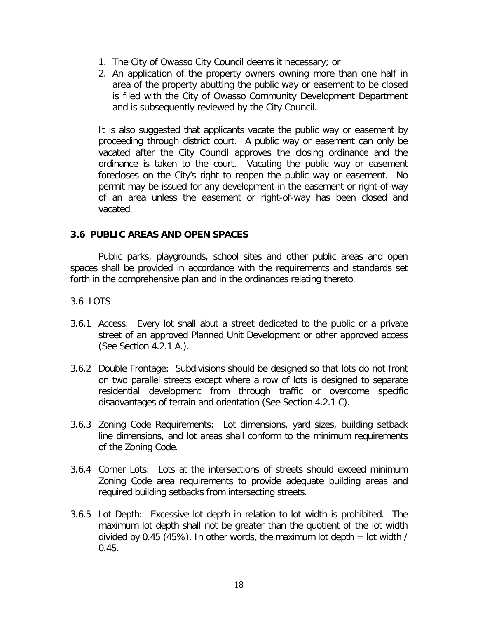- 1. The City of Owasso City Council deems it necessary; or
- 2. An application of the property owners owning more than one half in area of the property abutting the public way or easement to be closed is filed with the City of Owasso Community Development Department and is subsequently reviewed by the City Council.

It is also suggested that applicants vacate the public way or easement by proceeding through district court. A public way or easement can only be vacated after the City Council approves the closing ordinance and the ordinance is taken to the court. Vacating the public way or easement forecloses on the City's right to reopen the public way or easement. No permit may be issued for any development in the easement or right-of-way of an area unless the easement or right-of-way has been closed and vacated.

### **3.6 PUBLIC AREAS AND OPEN SPACES**

Public parks, playgrounds, school sites and other public areas and open spaces shall be provided in accordance with the requirements and standards set forth in the comprehensive plan and in the ordinances relating thereto.

### 3.6 LOTS

- 3.6.1 Access: Every lot shall abut a street dedicated to the public or a private street of an approved Planned Unit Development or other approved access (See Section 4.2.1 A.).
- 3.6.2 Double Frontage: Subdivisions should be designed so that lots do not front on two parallel streets except where a row of lots is designed to separate residential development from through traffic or overcome specific disadvantages of terrain and orientation (See Section 4.2.1 C).
- 3.6.3 Zoning Code Requirements: Lot dimensions, yard sizes, building setback line dimensions, and lot areas shall conform to the minimum requirements of the Zoning Code.
- 3.6.4 Corner Lots: Lots at the intersections of streets should exceed minimum Zoning Code area requirements to provide adequate building areas and required building setbacks from intersecting streets.
- 3.6.5 Lot Depth: Excessive lot depth in relation to lot width is prohibited. The maximum lot depth shall not be greater than the quotient of the lot width divided by 0.45 (45%). In other words, the maximum lot depth  $=$  lot width /  $0.45.$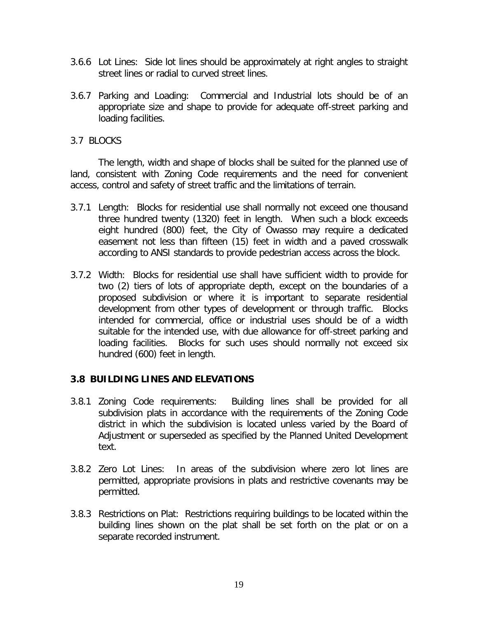- 3.6.6 Lot Lines: Side lot lines should be approximately at right angles to straight street lines or radial to curved street lines.
- 3.6.7 Parking and Loading: Commercial and Industrial lots should be of an appropriate size and shape to provide for adequate off-street parking and loading facilities.
- 3.7 BLOCKS

The length, width and shape of blocks shall be suited for the planned use of land, consistent with Zoning Code requirements and the need for convenient access, control and safety of street traffic and the limitations of terrain.

- 3.7.1 Length: Blocks for residential use shall normally not exceed one thousand three hundred twenty (1320) feet in length. When such a block exceeds eight hundred (800) feet, the City of Owasso may require a dedicated easement not less than fifteen (15) feet in width and a paved crosswalk according to ANSI standards to provide pedestrian access across the block.
- 3.7.2 Width: Blocks for residential use shall have sufficient width to provide for two (2) tiers of lots of appropriate depth, except on the boundaries of a proposed subdivision or where it is important to separate residential development from other types of development or through traffic. Blocks intended for commercial, office or industrial uses should be of a width suitable for the intended use, with due allowance for off-street parking and loading facilities. Blocks for such uses should normally not exceed six hundred (600) feet in length.

### **3.8 BUILDING LINES AND ELEVATIONS**

- 3.8.1 Zoning Code requirements: Building lines shall be provided for all subdivision plats in accordance with the requirements of the Zoning Code district in which the subdivision is located unless varied by the Board of Adjustment or superseded as specified by the Planned United Development text.
- 3.8.2 Zero Lot Lines: In areas of the subdivision where zero lot lines are permitted, appropriate provisions in plats and restrictive covenants may be permitted.
- 3.8.3 Restrictions on Plat: Restrictions requiring buildings to be located within the building lines shown on the plat shall be set forth on the plat or on a separate recorded instrument.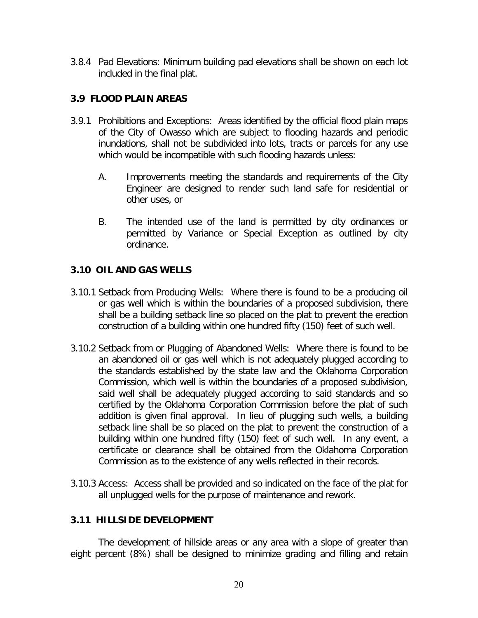3.8.4 Pad Elevations: Minimum building pad elevations shall be shown on each lot included in the final plat.

## **3.9 FLOOD PLAIN AREAS**

- 3.9.1 Prohibitions and Exceptions: Areas identified by the official flood plain maps of the City of Owasso which are subject to flooding hazards and periodic inundations, shall not be subdivided into lots, tracts or parcels for any use which would be incompatible with such flooding hazards unless:
	- A. Improvements meeting the standards and requirements of the City Engineer are designed to render such land safe for residential or other uses, or
	- B. The intended use of the land is permitted by city ordinances or permitted by Variance or Special Exception as outlined by city ordinance.

## **3.10 OIL AND GAS WELLS**

- 3.10.1 Setback from Producing Wells: Where there is found to be a producing oil or gas well which is within the boundaries of a proposed subdivision, there shall be a building setback line so placed on the plat to prevent the erection construction of a building within one hundred fifty (150) feet of such well.
- 3.10.2 Setback from or Plugging of Abandoned Wells: Where there is found to be an abandoned oil or gas well which is not adequately plugged according to the standards established by the state law and the Oklahoma Corporation Commission, which well is within the boundaries of a proposed subdivision, said well shall be adequately plugged according to said standards and so certified by the Oklahoma Corporation Commission before the plat of such addition is given final approval. In lieu of plugging such wells, a building setback line shall be so placed on the plat to prevent the construction of a building within one hundred fifty (150) feet of such well. In any event, a certificate or clearance shall be obtained from the Oklahoma Corporation Commission as to the existence of any wells reflected in their records.
- 3.10.3 Access: Access shall be provided and so indicated on the face of the plat for all unplugged wells for the purpose of maintenance and rework.

### **3.11 HILLSIDE DEVELOPMENT**

The development of hillside areas or any area with a slope of greater than eight percent (8%) shall be designed to minimize grading and filling and retain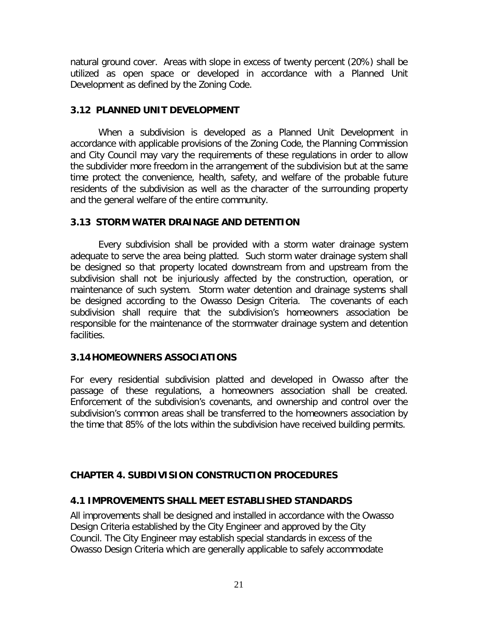natural ground cover. Areas with slope in excess of twenty percent (20%) shall be utilized as open space or developed in accordance with a Planned Unit Development as defined by the Zoning Code.

### **3.12 PLANNED UNIT DEVELOPMENT**

When a subdivision is developed as a Planned Unit Development in accordance with applicable provisions of the Zoning Code, the Planning Commission and City Council may vary the requirements of these regulations in order to allow the subdivider more freedom in the arrangement of the subdivision but at the same time protect the convenience, health, safety, and welfare of the probable future residents of the subdivision as well as the character of the surrounding property and the general welfare of the entire community.

### **3.13 STORM WATER DRAINAGE AND DETENTION**

Every subdivision shall be provided with a storm water drainage system adequate to serve the area being platted. Such storm water drainage system shall be designed so that property located downstream from and upstream from the subdivision shall not be injuriously affected by the construction, operation, or maintenance of such system. Storm water detention and drainage systems shall be designed according to the Owasso Design Criteria. The covenants of each subdivision shall require that the subdivision's homeowners association be responsible for the maintenance of the stormwater drainage system and detention facilities.

### **3.14HOMEOWNERS ASSOCIATIONS**

For every residential subdivision platted and developed in Owasso after the passage of these regulations, a homeowners association shall be created. Enforcement of the subdivision's covenants, and ownership and control over the subdivision's common areas shall be transferred to the homeowners association by the time that 85% of the lots within the subdivision have received building permits.

### **CHAPTER 4. SUBDIVISION CONSTRUCTION PROCEDURES**

### **4.1 IMPROVEMENTS SHALL MEET ESTABLISHED STANDARDS**

All improvements shall be designed and installed in accordance with the Owasso Design Criteria established by the City Engineer and approved by the City Council. The City Engineer may establish special standards in excess of the Owasso Design Criteria which are generally applicable to safely accommodate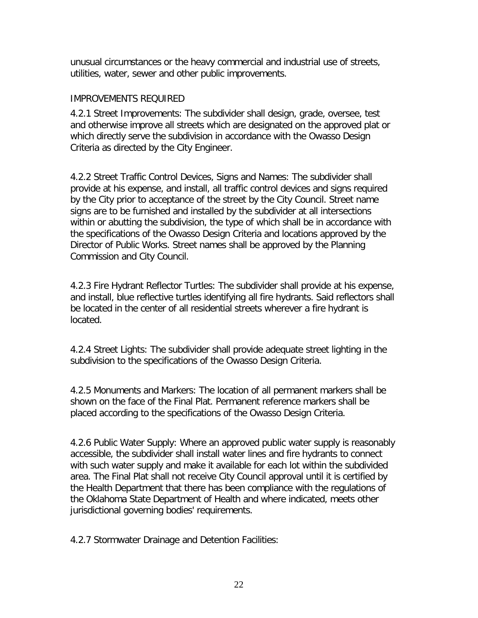unusual circumstances or the heavy commercial and industrial use of streets, utilities, water, sewer and other public improvements.

### IMPROVEMENTS REQUIRED

4.2.1 Street Improvements: The subdivider shall design, grade, oversee, test and otherwise improve all streets which are designated on the approved plat or which directly serve the subdivision in accordance with the Owasso Design Criteria as directed by the City Engineer.

4.2.2 Street Traffic Control Devices, Signs and Names: The subdivider shall provide at his expense, and install, all traffic control devices and signs required by the City prior to acceptance of the street by the City Council. Street name signs are to be furnished and installed by the subdivider at all intersections within or abutting the subdivision, the type of which shall be in accordance with the specifications of the Owasso Design Criteria and locations approved by the Director of Public Works. Street names shall be approved by the Planning Commission and City Council.

4.2.3 Fire Hydrant Reflector Turtles: The subdivider shall provide at his expense, and install, blue reflective turtles identifying all fire hydrants. Said reflectors shall be located in the center of all residential streets wherever a fire hydrant is located.

4.2.4 Street Lights: The subdivider shall provide adequate street lighting in the subdivision to the specifications of the Owasso Design Criteria.

4.2.5 Monuments and Markers: The location of all permanent markers shall be shown on the face of the Final Plat. Permanent reference markers shall be placed according to the specifications of the Owasso Design Criteria.

4.2.6 Public Water Supply: Where an approved public water supply is reasonably accessible, the subdivider shall install water lines and fire hydrants to connect with such water supply and make it available for each lot within the subdivided area. The Final Plat shall not receive City Council approval until it is certified by the Health Department that there has been compliance with the regulations of the Oklahoma State Department of Health and where indicated, meets other jurisdictional governing bodies' requirements.

4.2.7 Stormwater Drainage and Detention Facilities: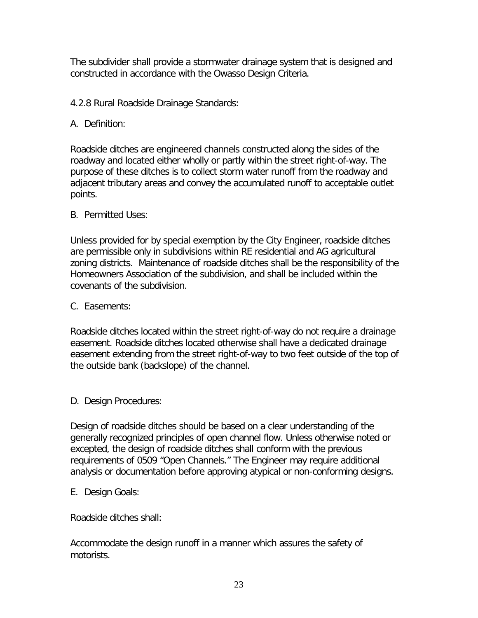The subdivider shall provide a stormwater drainage system that is designed and constructed in accordance with the Owasso Design Criteria.

- 4.2.8 Rural Roadside Drainage Standards:
- A. Definition:

Roadside ditches are engineered channels constructed along the sides of the roadway and located either wholly or partly within the street right-of-way. The purpose of these ditches is to collect storm water runoff from the roadway and adjacent tributary areas and convey the accumulated runoff to acceptable outlet points.

B. Permitted Uses:

Unless provided for by special exemption by the City Engineer, roadside ditches are permissible only in subdivisions within RE residential and AG agricultural zoning districts. Maintenance of roadside ditches shall be the responsibility of the Homeowners Association of the subdivision, and shall be included within the covenants of the subdivision.

C. Easements:

Roadside ditches located within the street right-of-way do not require a drainage easement. Roadside ditches located otherwise shall have a dedicated drainage easement extending from the street right-of-way to two feet outside of the top of the outside bank (backslope) of the channel.

D. Design Procedures:

Design of roadside ditches should be based on a clear understanding of the generally recognized principles of open channel flow. Unless otherwise noted or excepted, the design of roadside ditches shall conform with the previous requirements of 0509 "Open Channels." The Engineer may require additional analysis or documentation before approving atypical or non-conforming designs.

E. Design Goals:

Roadside ditches shall:

Accommodate the design runoff in a manner which assures the safety of motorists.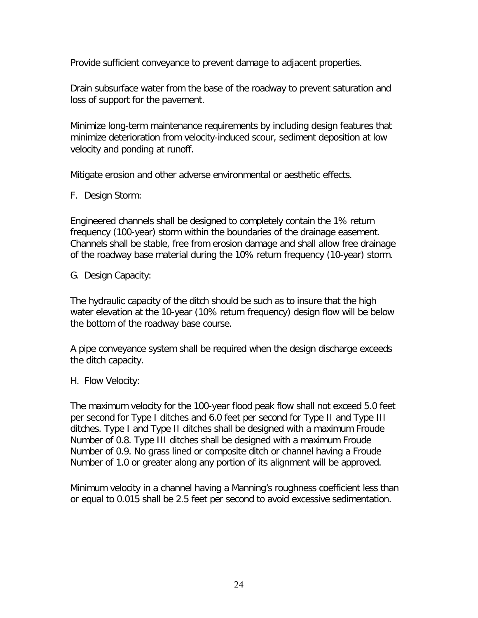Provide sufficient conveyance to prevent damage to adjacent properties.

Drain subsurface water from the base of the roadway to prevent saturation and loss of support for the pavement.

Minimize long-term maintenance requirements by including design features that minimize deterioration from velocity-induced scour, sediment deposition at low velocity and ponding at runoff.

Mitigate erosion and other adverse environmental or aesthetic effects.

F. Design Storm:

Engineered channels shall be designed to completely contain the 1% return frequency (100-year) storm within the boundaries of the drainage easement. Channels shall be stable, free from erosion damage and shall allow free drainage of the roadway base material during the 10% return frequency (10-year) storm.

G. Design Capacity:

The hydraulic capacity of the ditch should be such as to insure that the high water elevation at the 10-year (10% return frequency) design flow will be below the bottom of the roadway base course.

A pipe conveyance system shall be required when the design discharge exceeds the ditch capacity.

H. Flow Velocity:

The maximum velocity for the 100-year flood peak flow shall not exceed 5.0 feet per second for Type I ditches and 6.0 feet per second for Type II and Type III ditches. Type I and Type II ditches shall be designed with a maximum Froude Number of 0.8. Type III ditches shall be designed with a maximum Froude Number of 0.9. No grass lined or composite ditch or channel having a Froude Number of 1.0 or greater along any portion of its alignment will be approved.

Minimum velocity in a channel having a Manning's roughness coefficient less than or equal to 0.015 shall be 2.5 feet per second to avoid excessive sedimentation.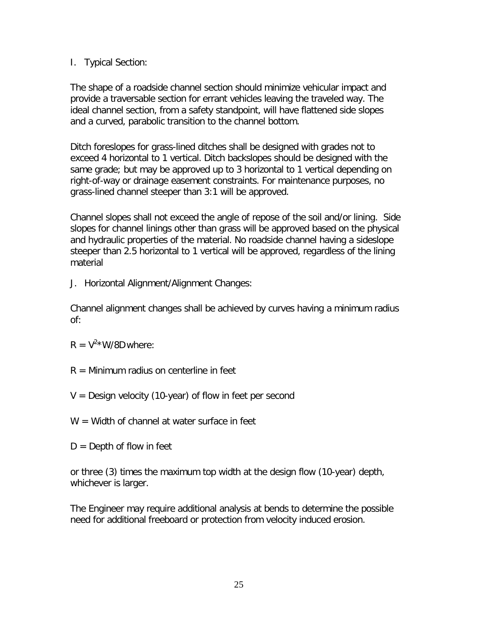### I. Typical Section:

The shape of a roadside channel section should minimize vehicular impact and provide a traversable section for errant vehicles leaving the traveled way. The ideal channel section, from a safety standpoint, will have flattened side slopes and a curved, parabolic transition to the channel bottom.

Ditch foreslopes for grass-lined ditches shall be designed with grades not to exceed 4 horizontal to 1 vertical. Ditch backslopes should be designed with the same grade; but may be approved up to 3 horizontal to 1 vertical depending on right-of-way or drainage easement constraints. For maintenance purposes, no grass-lined channel steeper than 3:1 will be approved.

Channel slopes shall not exceed the angle of repose of the soil and/or lining. Side slopes for channel linings other than grass will be approved based on the physical and hydraulic properties of the material. No roadside channel having a sideslope steeper than 2.5 horizontal to 1 vertical will be approved, regardless of the lining material

J. Horizontal Alignment/Alignment Changes:

Channel alignment changes shall be achieved by curves having a minimum radius of:

- $R = V^2 * W/8D$  where:
- $R =$  Minimum radius on centerline in feet
- $V =$  Design velocity (10-year) of flow in feet per second
- $W =$  Width of channel at water surface in feet
- $D =$  Depth of flow in feet

or three (3) times the maximum top width at the design flow (10-year) depth, whichever is larger.

The Engineer may require additional analysis at bends to determine the possible need for additional freeboard or protection from velocity induced erosion.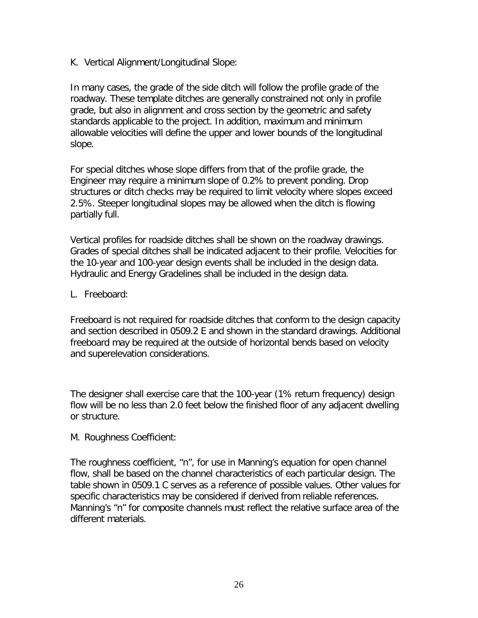K. Vertical Alignment/Longitudinal Slope:

In many cases, the grade of the side ditch will follow the profile grade of the roadway. These template ditches are generally constrained not only in profile grade, but also in alignment and cross section by the geometric and safety standards applicable to the project. In addition, maximum and minimum allowable velocities will define the upper and lower bounds of the longitudinal slope.

For special ditches whose slope differs from that of the profile grade, the Engineer may require a minimum slope of 0.2% to prevent ponding. Drop structures or ditch checks may be required to limit velocity where slopes exceed 2.5%. Steeper longitudinal slopes may be allowed when the ditch is flowing partially full.

Vertical profiles for roadside ditches shall be shown on the roadway drawings. Grades of special ditches shall be indicated adjacent to their profile. Velocities for the 10-year and 100-year design events shall be included in the design data. Hydraulic and Energy Gradelines shall be included in the design data.

L. Freeboard:

Freeboard is not required for roadside ditches that conform to the design capacity and section described in 0509.2 E and shown in the standard drawings. Additional freeboard may be required at the outside of horizontal bends based on velocity and superelevation considerations.

The designer shall exercise care that the 100-year (1% return frequency) design flow will be no less than 2.0 feet below the finished floor of any adjacent dwelling or structure.

M. Roughness Coefficient:

The roughness coefficient, "n", for use in Manning's equation for open channel flow, shall be based on the channel characteristics of each particular design. The table shown in 0509.1 C serves as a reference of possible values. Other values for specific characteristics may be considered if derived from reliable references. Manning's "n" for composite channels must reflect the relative surface area of the different materials.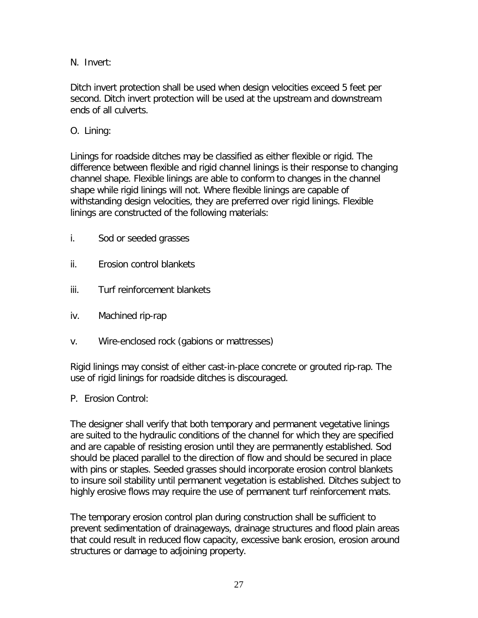N. Invert:

Ditch invert protection shall be used when design velocities exceed 5 feet per second. Ditch invert protection will be used at the upstream and downstream ends of all culverts.

O. Lining:

Linings for roadside ditches may be classified as either flexible or rigid. The difference between flexible and rigid channel linings is their response to changing channel shape. Flexible linings are able to conform to changes in the channel shape while rigid linings will not. Where flexible linings are capable of withstanding design velocities, they are preferred over rigid linings. Flexible linings are constructed of the following materials:

- i. Sod or seeded grasses
- ii. Erosion control blankets
- iii. Turf reinforcement blankets
- iv. Machined rip-rap
- v. Wire-enclosed rock (gabions or mattresses)

Rigid linings may consist of either cast-in-place concrete or grouted rip-rap. The use of rigid linings for roadside ditches is discouraged.

P. Erosion Control:

The designer shall verify that both temporary and permanent vegetative linings are suited to the hydraulic conditions of the channel for which they are specified and are capable of resisting erosion until they are permanently established. Sod should be placed parallel to the direction of flow and should be secured in place with pins or staples. Seeded grasses should incorporate erosion control blankets to insure soil stability until permanent vegetation is established. Ditches subject to highly erosive flows may require the use of permanent turf reinforcement mats.

The temporary erosion control plan during construction shall be sufficient to prevent sedimentation of drainageways, drainage structures and flood plain areas that could result in reduced flow capacity, excessive bank erosion, erosion around structures or damage to adjoining property.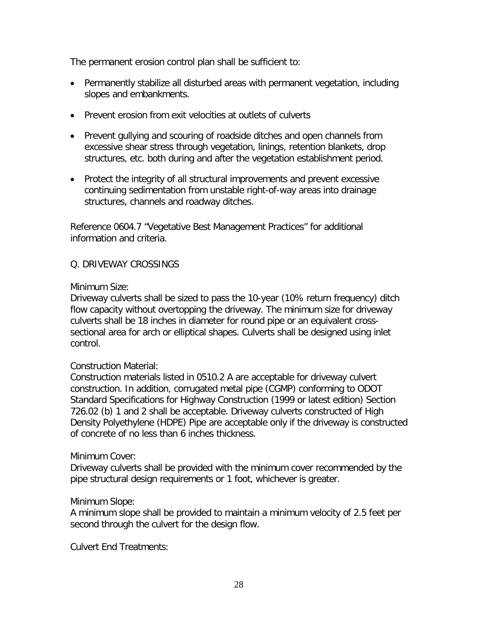The permanent erosion control plan shall be sufficient to:

- Permanently stabilize all disturbed areas with permanent vegetation, including slopes and embankments.
- Prevent erosion from exit velocities at outlets of culverts
- Prevent gullying and scouring of roadside ditches and open channels from excessive shear stress through vegetation, linings, retention blankets, drop structures, etc. both during and after the vegetation establishment period.
- Protect the integrity of all structural improvements and prevent excessive continuing sedimentation from unstable right-of-way areas into drainage structures, channels and roadway ditches.

Reference 0604.7 "Vegetative Best Management Practices" for additional information and criteria.

### Q. DRIVEWAY CROSSINGS

### Minimum Size:

Driveway culverts shall be sized to pass the 10-year (10% return frequency) ditch flow capacity without overtopping the driveway. The minimum size for driveway culverts shall be 18 inches in diameter for round pipe or an equivalent crosssectional area for arch or elliptical shapes. Culverts shall be designed using inlet control.

### Construction Material:

Construction materials listed in 0510.2 A are acceptable for driveway culvert construction. In addition, corrugated metal pipe (CGMP) conforming to ODOT Standard Specifications for Highway Construction (1999 or latest edition) Section 726.02 (b) 1 and 2 shall be acceptable. Driveway culverts constructed of High Density Polyethylene (HDPE) Pipe are acceptable only if the driveway is constructed of concrete of no less than 6 inches thickness.

#### Minimum Cover:

Driveway culverts shall be provided with the minimum cover recommended by the pipe structural design requirements or 1 foot, whichever is greater.

### Minimum Slope:

A minimum slope shall be provided to maintain a minimum velocity of 2.5 feet per second through the culvert for the design flow.

Culvert End Treatments: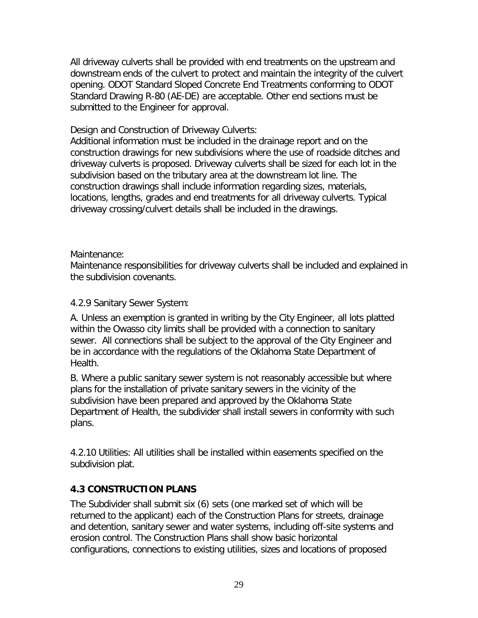All driveway culverts shall be provided with end treatments on the upstream and downstream ends of the culvert to protect and maintain the integrity of the culvert opening. ODOT Standard Sloped Concrete End Treatments conforming to ODOT Standard Drawing R-80 (AE-DE) are acceptable. Other end sections must be submitted to the Engineer for approval.

### Design and Construction of Driveway Culverts:

Additional information must be included in the drainage report and on the construction drawings for new subdivisions where the use of roadside ditches and driveway culverts is proposed. Driveway culverts shall be sized for each lot in the subdivision based on the tributary area at the downstream lot line. The construction drawings shall include information regarding sizes, materials, locations, lengths, grades and end treatments for all driveway culverts. Typical driveway crossing/culvert details shall be included in the drawings.

### Maintenance:

Maintenance responsibilities for driveway culverts shall be included and explained in the subdivision covenants.

### 4.2.9 Sanitary Sewer System:

A. Unless an exemption is granted in writing by the City Engineer, all lots platted within the Owasso city limits shall be provided with a connection to sanitary sewer.All connections shall be subject to the approval of the City Engineer and be in accordance with the regulations of the Oklahoma State Department of Health.

B. Where a public sanitary sewer system is not reasonably accessible but where plans for the installation of private sanitary sewers in the vicinity of the subdivision have been prepared and approved by the Oklahoma State Department of Health, the subdivider shall install sewers in conformity with such plans.

4.2.10 Utilities: All utilities shall be installed within easements specified on the subdivision plat.

## **4.3 CONSTRUCTION PLANS**

The Subdivider shall submit six (6) sets (one marked set of which will be returned to the applicant) each of the Construction Plans for streets, drainage and detention, sanitary sewer and water systems, including off-site systems and erosion control. The Construction Plans shall show basic horizontal configurations, connections to existing utilities, sizes and locations of proposed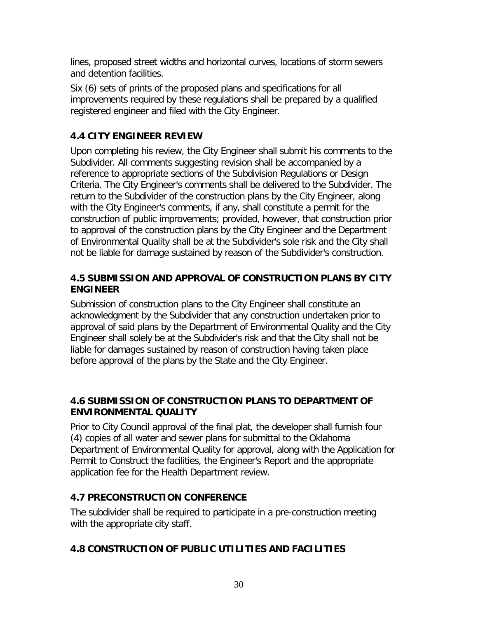lines, proposed street widths and horizontal curves, locations of storm sewers and detention facilities.

Six (6) sets of prints of the proposed plans and specifications for all improvements required by these regulations shall be prepared by a qualified registered engineer and filed with the City Engineer.

## **4.4 CITY ENGINEER REVIEW**

Upon completing his review, the City Engineer shall submit his comments to the Subdivider. All comments suggesting revision shall be accompanied by a reference to appropriate sections of the Subdivision Regulations or Design Criteria. The City Engineer's comments shall be delivered to the Subdivider. The return to the Subdivider of the construction plans by the City Engineer, along with the City Engineer's comments, if any, shall constitute a permit for the construction of public improvements; provided, however, that construction prior to approval of the construction plans by the City Engineer and the Department of Environmental Quality shall be at the Subdivider's sole risk and the City shall not be liable for damage sustained by reason of the Subdivider's construction.

## **4.5 SUBMISSION AND APPROVAL OF CONSTRUCTION PLANS BY CITY ENGINEER**

Submission of construction plans to the City Engineer shall constitute an acknowledgment by the Subdivider that any construction undertaken prior to approval of said plans by the Department of Environmental Quality and the City Engineer shall solely be at the Subdivider's risk and that the City shall not be liable for damages sustained by reason of construction having taken place before approval of the plans by the State and the City Engineer.

## **4.6 SUBMISSION OF CONSTRUCTION PLANS TO DEPARTMENT OF ENVIRONMENTAL QUALITY**

Prior to City Council approval of the final plat, the developer shall furnish four (4) copies of all water and sewer plans for submittal to the Oklahoma Department of Environmental Quality for approval, along with the Application for Permit to Construct the facilities, the Engineer's Report and the appropriate application fee for the Health Department review.

# **4.7 PRECONSTRUCTION CONFERENCE**

The subdivider shall be required to participate in a pre-construction meeting with the appropriate city staff.

# **4.8 CONSTRUCTION OF PUBLIC UTILITIES AND FACILITIES**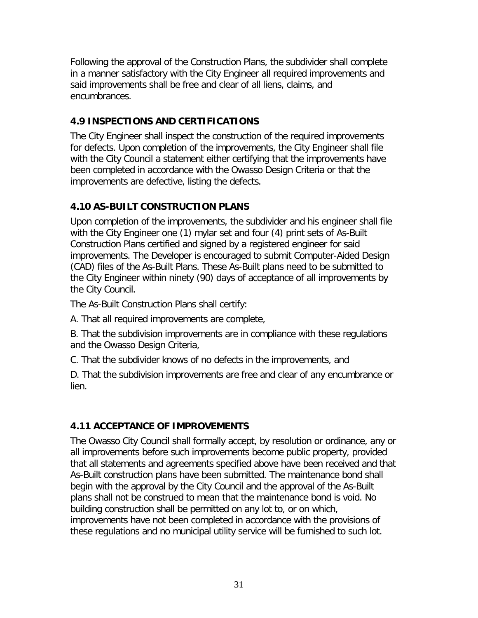Following the approval of the Construction Plans, the subdivider shall complete in a manner satisfactory with the City Engineer all required improvements and said improvements shall be free and clear of all liens, claims, and encumbrances.

## **4.9 INSPECTIONS AND CERTIFICATIONS**

The City Engineer shall inspect the construction of the required improvements for defects. Upon completion of the improvements, the City Engineer shall file with the City Council a statement either certifying that the improvements have been completed in accordance with the Owasso Design Criteria or that the improvements are defective, listing the defects.

## **4.10 AS-BUILT CONSTRUCTION PLANS**

Upon completion of the improvements, the subdivider and his engineer shall file with the City Engineer one (1) mylar set and four (4) print sets of As-Built Construction Plans certified and signed by a registered engineer for said improvements. The Developer is encouraged to submit Computer-Aided Design (CAD) files of the As-Built Plans. These As-Built plans need to be submitted to the City Engineer within ninety (90) days of acceptance of all improvements by the City Council.

The As-Built Construction Plans shall certify:

A. That all required improvements are complete,

B. That the subdivision improvements are in compliance with these regulations and the Owasso Design Criteria,

C. That the subdivider knows of no defects in the improvements, and

D. That the subdivision improvements are free and clear of any encumbrance or lien.

# **4.11 ACCEPTANCE OF IMPROVEMENTS**

The Owasso City Council shall formally accept, by resolution or ordinance, any or all improvements before such improvements become public property, provided that all statements and agreements specified above have been received and that As-Built construction plans have been submitted. The maintenance bond shall begin with the approval by the City Council and the approval of the As-Built plans shall not be construed to mean that the maintenance bond is void. No building construction shall be permitted on any lot to, or on which, improvements have not been completed in accordance with the provisions of these regulations and no municipal utility service will be furnished to such lot.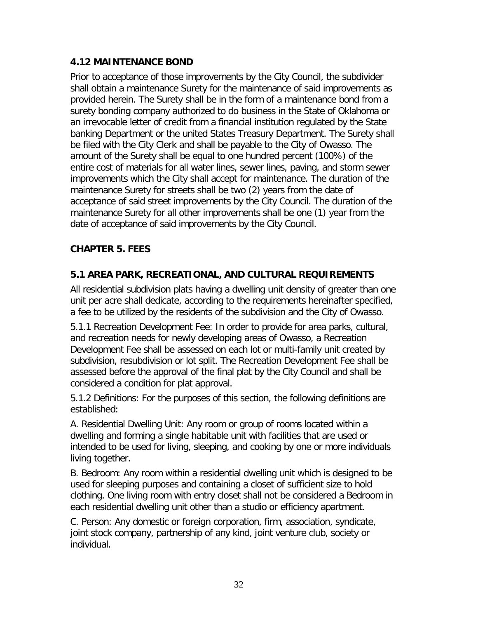## **4.12 MAINTENANCE BOND**

Prior to acceptance of those improvements by the City Council, the subdivider shall obtain a maintenance Surety for the maintenance of said improvements as provided herein. The Surety shall be in the form of a maintenance bond from a surety bonding company authorized to do business in the State of Oklahoma or an irrevocable letter of credit from a financial institution regulated by the State banking Department or the united States Treasury Department. The Surety shall be filed with the City Clerk and shall be payable to the City of Owasso. The amount of the Surety shall be equal to one hundred percent (100%) of the entire cost of materials for all water lines, sewer lines, paving, and storm sewer improvements which the City shall accept for maintenance. The duration of the maintenance Surety for streets shall be two (2) years from the date of acceptance of said street improvements by the City Council. The duration of the maintenance Surety for all other improvements shall be one (1) year from the date of acceptance of said improvements by the City Council.

## **CHAPTER 5. FEES**

## **5.1 AREA PARK, RECREATIONAL, AND CULTURAL REQUIREMENTS**

All residential subdivision plats having a dwelling unit density of greater than one unit per acre shall dedicate, according to the requirements hereinafter specified, a fee to be utilized by the residents of the subdivision and the City of Owasso.

5.1.1 Recreation Development Fee: In order to provide for area parks, cultural, and recreation needs for newly developing areas of Owasso, a Recreation Development Fee shall be assessed on each lot or multi-family unit created by subdivision, resubdivision or lot split. The Recreation Development Fee shall be assessed before the approval of the final plat by the City Council and shall be considered a condition for plat approval.

5.1.2 Definitions: For the purposes of this section, the following definitions are established:

A. Residential Dwelling Unit: Any room or group of rooms located within a dwelling and forming a single habitable unit with facilities that are used or intended to be used for living, sleeping, and cooking by one or more individuals living together.

B. Bedroom: Any room within a residential dwelling unit which is designed to be used for sleeping purposes and containing a closet of sufficient size to hold clothing. One living room with entry closet shall not be considered a Bedroom in each residential dwelling unit other than a studio or efficiency apartment.

C. Person: Any domestic or foreign corporation, firm, association, syndicate, joint stock company, partnership of any kind, joint venture club, society or individual.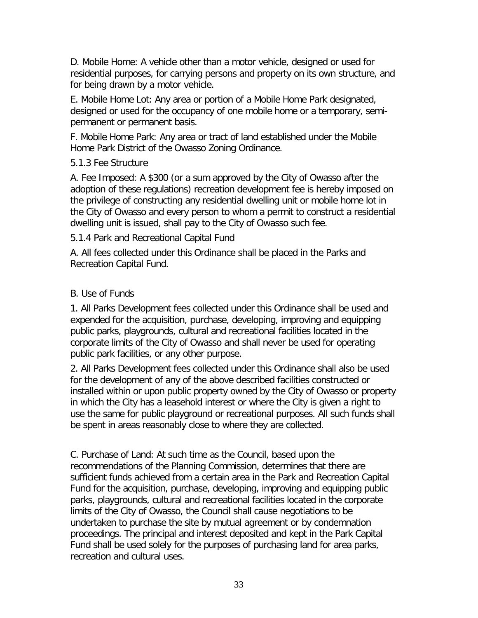D. Mobile Home: A vehicle other than a motor vehicle, designed or used for residential purposes, for carrying persons and property on its own structure, and for being drawn by a motor vehicle.

E. Mobile Home Lot: Any area or portion of a Mobile Home Park designated, designed or used for the occupancy of one mobile home or a temporary, semipermanent or permanent basis.

F. Mobile Home Park: Any area or tract of land established under the Mobile Home Park District of the Owasso Zoning Ordinance.

### 5.1.3 Fee Structure

A. Fee Imposed: A \$300 (or a sum approved by the City of Owasso after the adoption of these regulations) recreation development fee is hereby imposed on the privilege of constructing any residential dwelling unit or mobile home lot in the City of Owasso and every person to whom a permit to construct a residential dwelling unit is issued, shall pay to the City of Owasso such fee.

5.1.4 Park and Recreational Capital Fund

A. All fees collected under this Ordinance shall be placed in the Parks and Recreation Capital Fund.

## B. Use of Funds

1. All Parks Development fees collected under this Ordinance shall be used and expended for the acquisition, purchase, developing, improving and equipping public parks, playgrounds, cultural and recreational facilities located in the corporate limits of the City of Owasso and shall never be used for operating public park facilities, or any other purpose.

2. All Parks Development fees collected under this Ordinance shall also be used for the development of any of the above described facilities constructed or installed within or upon public property owned by the City of Owasso or property in which the City has a leasehold interest or where the City is given a right to use the same for public playground or recreational purposes. All such funds shall be spent in areas reasonably close to where they are collected.

C. Purchase of Land: At such time as the Council, based upon the recommendations of the Planning Commission, determines that there are sufficient funds achieved from a certain area in the Park and Recreation Capital Fund for the acquisition, purchase, developing, improving and equipping public parks, playgrounds, cultural and recreational facilities located in the corporate limits of the City of Owasso, the Council shall cause negotiations to be undertaken to purchase the site by mutual agreement or by condemnation proceedings. The principal and interest deposited and kept in the Park Capital Fund shall be used solely for the purposes of purchasing land for area parks, recreation and cultural uses.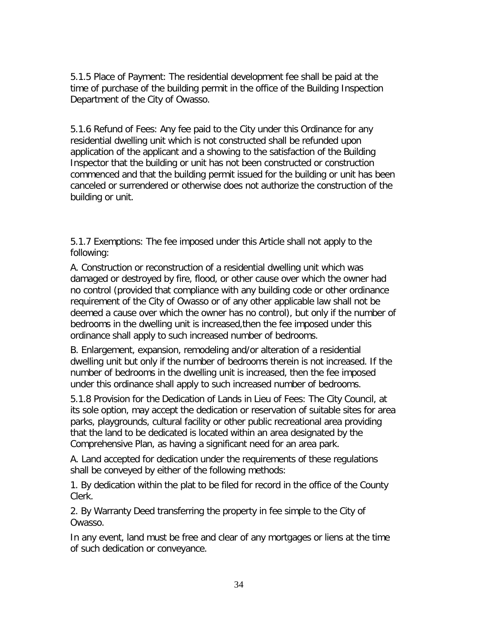5.1.5 Place of Payment: The residential development fee shall be paid at the time of purchase of the building permit in the office of the Building Inspection Department of the City of Owasso.

5.1.6 Refund of Fees: Any fee paid to the City under this Ordinance for any residential dwelling unit which is not constructed shall be refunded upon application of the applicant and a showing to the satisfaction of the Building Inspector that the building or unit has not been constructed or construction commenced and that the building permit issued for the building or unit has been canceled or surrendered or otherwise does not authorize the construction of the building or unit.

5.1.7 Exemptions: The fee imposed under this Article shall not apply to the following:

A. Construction or reconstruction of a residential dwelling unit which was damaged or destroyed by fire, flood, or other cause over which the owner had no control (provided that compliance with any building code or other ordinance requirement of the City of Owasso or of any other applicable law shall not be deemed a cause over which the owner has no control), but only if the number of bedrooms in the dwelling unit is increased,then the fee imposed under this ordinance shall apply to such increased number of bedrooms.

B. Enlargement, expansion, remodeling and/or alteration of a residential dwelling unit but only if the number of bedrooms therein is not increased. If the number of bedrooms in the dwelling unit is increased, then the fee imposed under this ordinance shall apply to such increased number of bedrooms.

5.1.8 Provision for the Dedication of Lands in Lieu of Fees: The City Council, at its sole option, may accept the dedication or reservation of suitable sites for area parks, playgrounds, cultural facility or other public recreational area providing that the land to be dedicated is located within an area designated by the Comprehensive Plan, as having a significant need for an area park.

A. Land accepted for dedication under the requirements of these regulations shall be conveyed by either of the following methods:

1. By dedication within the plat to be filed for record in the office of the County Clerk.

2. By Warranty Deed transferring the property in fee simple to the City of Owasso.

In any event, land must be free and clear of any mortgages or liens at the time of such dedication or conveyance.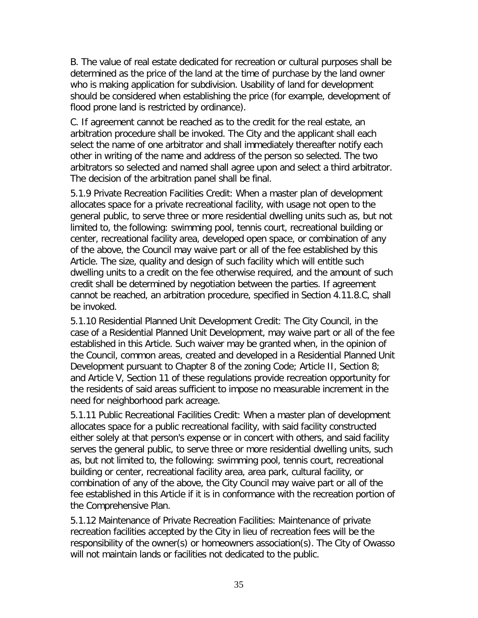B. The value of real estate dedicated for recreation or cultural purposes shall be determined as the price of the land at the time of purchase by the land owner who is making application for subdivision. Usability of land for development should be considered when establishing the price (for example, development of flood prone land is restricted by ordinance).

C. If agreement cannot be reached as to the credit for the real estate, an arbitration procedure shall be invoked. The City and the applicant shall each select the name of one arbitrator and shall immediately thereafter notify each other in writing of the name and address of the person so selected. The two arbitrators so selected and named shall agree upon and select a third arbitrator. The decision of the arbitration panel shall be final.

5.1.9 Private Recreation Facilities Credit: When a master plan of development allocates space for a private recreational facility, with usage not open to the general public, to serve three or more residential dwelling units such as, but not limited to, the following: swimming pool, tennis court, recreational building or center, recreational facility area, developed open space, or combination of any of the above, the Council may waive part or all of the fee established by this Article. The size, quality and design of such facility which will entitle such dwelling units to a credit on the fee otherwise required, and the amount of such credit shall be determined by negotiation between the parties. If agreement cannot be reached, an arbitration procedure, specified in Section 4.11.8.C, shall be invoked.

5.1.10 Residential Planned Unit Development Credit: The City Council, in the case of a Residential Planned Unit Development, may waive part or all of the fee established in this Article. Such waiver may be granted when, in the opinion of the Council, common areas, created and developed in a Residential Planned Unit Development pursuant to Chapter 8 of the zoning Code; Article II, Section 8; and Article V, Section 11 of these regulations provide recreation opportunity for the residents of said areas sufficient to impose no measurable increment in the need for neighborhood park acreage.

5.1.11 Public Recreational Facilities Credit: When a master plan of development allocates space for a public recreational facility, with said facility constructed either solely at that person's expense or in concert with others, and said facility serves the general public, to serve three or more residential dwelling units, such as, but not limited to, the following: swimming pool, tennis court, recreational building or center, recreational facility area, area park, cultural facility, or combination of any of the above, the City Council may waive part or all of the fee established in this Article if it is in conformance with the recreation portion of the Comprehensive Plan.

5.1.12 Maintenance of Private Recreation Facilities: Maintenance of private recreation facilities accepted by the City in lieu of recreation fees will be the responsibility of the owner(s) or homeowners association(s). The City of Owasso will not maintain lands or facilities not dedicated to the public.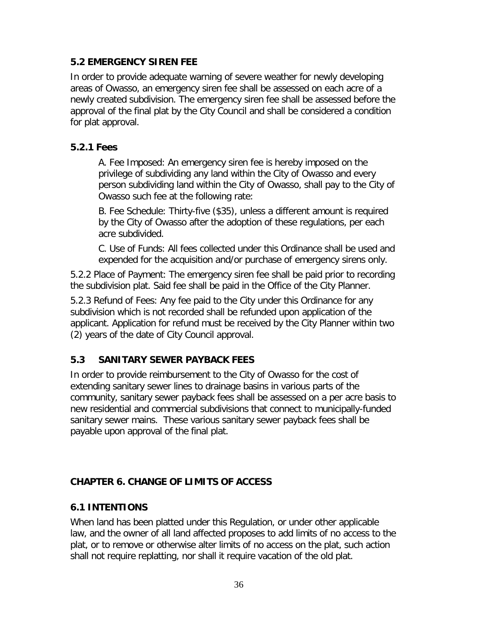## **5.2 EMERGENCY SIREN FEE**

In order to provide adequate warning of severe weather for newly developing areas of Owasso, an emergency siren fee shall be assessed on each acre of a newly created subdivision. The emergency siren fee shall be assessed before the approval of the final plat by the City Council and shall be considered a condition for plat approval.

## **5.2.1 Fees**

A. Fee Imposed: An emergency siren fee is hereby imposed on the privilege of subdividing any land within the City of Owasso and every person subdividing land within the City of Owasso, shall pay to the City of Owasso such fee at the following rate:

B. Fee Schedule: Thirty-five (\$35), unless a different amount is required by the City of Owasso after the adoption of these regulations, per each acre subdivided.

C. Use of Funds: All fees collected under this Ordinance shall be used and expended for the acquisition and/or purchase of emergency sirens only.

5.2.2 Place of Payment: The emergency siren fee shall be paid prior to recording the subdivision plat. Said fee shall be paid in the Office of the City Planner.

5.2.3 Refund of Fees: Any fee paid to the City under this Ordinance for any subdivision which is not recorded shall be refunded upon application of the applicant. Application for refund must be received by the City Planner within two (2) years of the date of City Council approval.

## **5.3 SANITARY SEWER PAYBACK FEES**

In order to provide reimbursement to the City of Owasso for the cost of extending sanitary sewer lines to drainage basins in various parts of the community, sanitary sewer payback fees shall be assessed on a per acre basis to new residential and commercial subdivisions that connect to municipally-funded sanitary sewer mains. These various sanitary sewer payback fees shall be payable upon approval of the final plat.

## **CHAPTER 6. CHANGE OF LIMITS OF ACCESS**

## **6.1 INTENTIONS**

When land has been platted under this Regulation, or under other applicable law, and the owner of all land affected proposes to add limits of no access to the plat, or to remove or otherwise alter limits of no access on the plat, such action shall not require replatting, nor shall it require vacation of the old plat.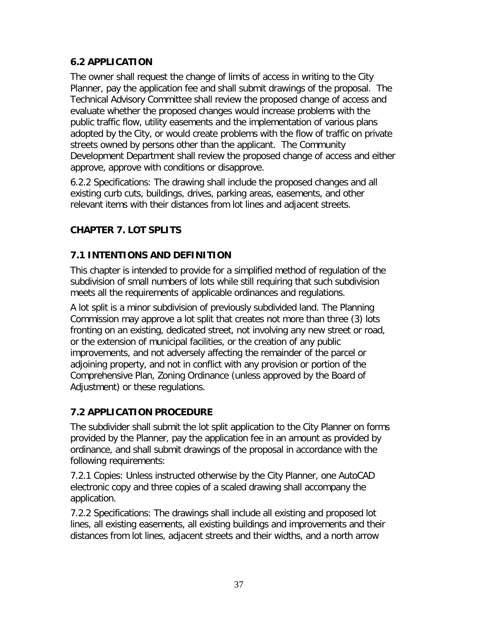## **6.2 APPLICATION**

The owner shall request the change of limits of access in writing to the City Planner, pay the application fee and shall submit drawings of the proposal. The Technical Advisory Committee shall review the proposed change of access and evaluate whether the proposed changes would increase problems with the public traffic flow, utility easements and the implementation of various plans adopted by the City, or would create problems with the flow of traffic on private streets owned by persons other than the applicant. The Community Development Department shall review the proposed change of access and either approve, approve with conditions or disapprove.

6.2.2 Specifications: The drawing shall include the proposed changes and all existing curb cuts, buildings, drives, parking areas, easements, and other relevant items with their distances from lot lines and adjacent streets.

# **CHAPTER 7. LOT SPLITS**

# **7.1 INTENTIONS AND DEFINITION**

This chapter is intended to provide for a simplified method of regulation of the subdivision of small numbers of lots while still requiring that such subdivision meets all the requirements of applicable ordinances and regulations.

A lot split is a minor subdivision of previously subdivided land. The Planning Commission may approve a lot split that creates not more than three (3) lots fronting on an existing, dedicated street, not involving any new street or road, or the extension of municipal facilities, or the creation of any public improvements, and not adversely affecting the remainder of the parcel or adjoining property, and not in conflict with any provision or portion of the Comprehensive Plan, Zoning Ordinance (unless approved by the Board of Adjustment) or these regulations.

# **7.2 APPLICATION PROCEDURE**

The subdivider shall submit the lot split application to the City Planner on forms provided by the Planner, pay the application fee in an amount as provided by ordinance, and shall submit drawings of the proposal in accordance with the following requirements:

7.2.1 Copies: Unless instructed otherwise by the City Planner, one AutoCAD electronic copy and three copies of a scaled drawing shall accompany the application.

7.2.2 Specifications: The drawings shall include all existing and proposed lot lines, all existing easements, all existing buildings and improvements and their distances from lot lines, adjacent streets and their widths, and a north arrow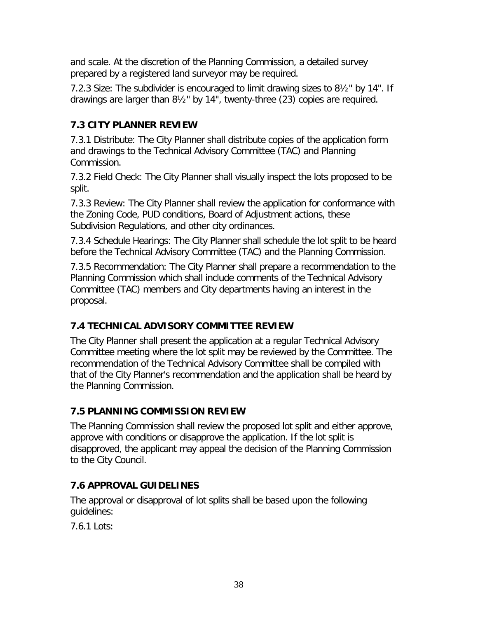and scale. At the discretion of the Planning Commission, a detailed survey prepared by a registered land surveyor may be required.

7.2.3 Size: The subdivider is encouraged to limit drawing sizes to 8½" by 14". If drawings are larger than 8½" by 14", twenty-three (23) copies are required.

# **7.3 CITY PLANNER REVIEW**

7.3.1 Distribute: The City Planner shall distribute copies of the application form and drawings to the Technical Advisory Committee (TAC) and Planning Commission.

7.3.2 Field Check: The City Planner shall visually inspect the lots proposed to be split.

7.3.3 Review: The City Planner shall review the application for conformance with the Zoning Code, PUD conditions, Board of Adjustment actions, these Subdivision Regulations, and other city ordinances.

7.3.4 Schedule Hearings: The City Planner shall schedule the lot split to be heard before the Technical Advisory Committee (TAC) and the Planning Commission.

7.3.5 Recommendation: The City Planner shall prepare a recommendation to the Planning Commission which shall include comments of the Technical Advisory Committee (TAC) members and City departments having an interest in the proposal.

## **7.4 TECHNICAL ADVISORY COMMITTEE REVIEW**

The City Planner shall present the application at a regular Technical Advisory Committee meeting where the lot split may be reviewed by the Committee. The recommendation of the Technical Advisory Committee shall be compiled with that of the City Planner's recommendation and the application shall be heard by the Planning Commission.

## **7.5 PLANNING COMMISSION REVIEW**

The Planning Commission shall review the proposed lot split and either approve, approve with conditions or disapprove the application. If the lot split is disapproved, the applicant may appeal the decision of the Planning Commission to the City Council.

# **7.6 APPROVAL GUIDELINES**

The approval or disapproval of lot splits shall be based upon the following guidelines:

7.6.1 Lots: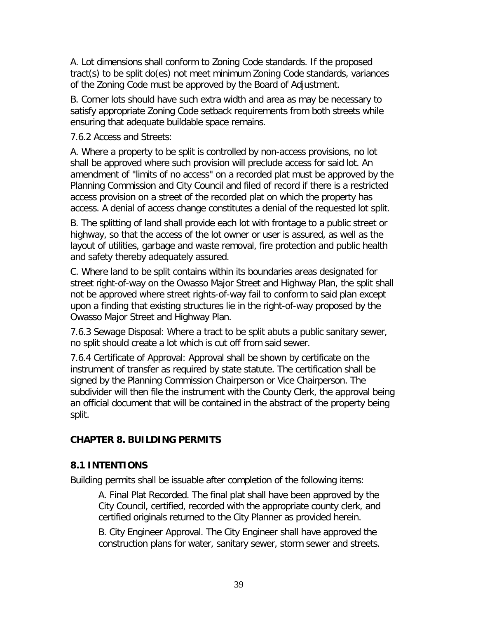A. Lot dimensions shall conform to Zoning Code standards. If the proposed tract(s) to be split do(es) not meet minimum Zoning Code standards, variances of the Zoning Code must be approved by the Board of Adjustment.

B. Corner lots should have such extra width and area as may be necessary to satisfy appropriate Zoning Code setback requirements from both streets while ensuring that adequate buildable space remains.

7.6.2 Access and Streets:

A. Where a property to be split is controlled by non-access provisions, no lot shall be approved where such provision will preclude access for said lot. An amendment of "limits of no access" on a recorded plat must be approved by the Planning Commission and City Council and filed of record if there is a restricted access provision on a street of the recorded plat on which the property has access. A denial of access change constitutes a denial of the requested lot split.

B. The splitting of land shall provide each lot with frontage to a public street or highway, so that the access of the lot owner or user is assured, as well as the layout of utilities, garbage and waste removal, fire protection and public health and safety thereby adequately assured.

C. Where land to be split contains within its boundaries areas designated for street right-of-way on the Owasso Major Street and Highway Plan, the split shall not be approved where street rights-of-way fail to conform to said plan except upon a finding that existing structures lie in the right-of-way proposed by the Owasso Major Street and Highway Plan.

7.6.3 Sewage Disposal: Where a tract to be split abuts a public sanitary sewer, no split should create a lot which is cut off from said sewer.

7.6.4 Certificate of Approval: Approval shall be shown by certificate on the instrument of transfer as required by state statute. The certification shall be signed by the Planning Commission Chairperson or Vice Chairperson. The subdivider will then file the instrument with the County Clerk, the approval being an official document that will be contained in the abstract of the property being split.

## **CHAPTER 8. BUILDING PERMITS**

## **8.1 INTENTIONS**

Building permits shall be issuable after completion of the following items:

A. Final Plat Recorded. The final plat shall have been approved by the City Council, certified, recorded with the appropriate county clerk, and certified originals returned to the City Planner as provided herein.

B. City Engineer Approval. The City Engineer shall have approved the construction plans for water, sanitary sewer, storm sewer and streets.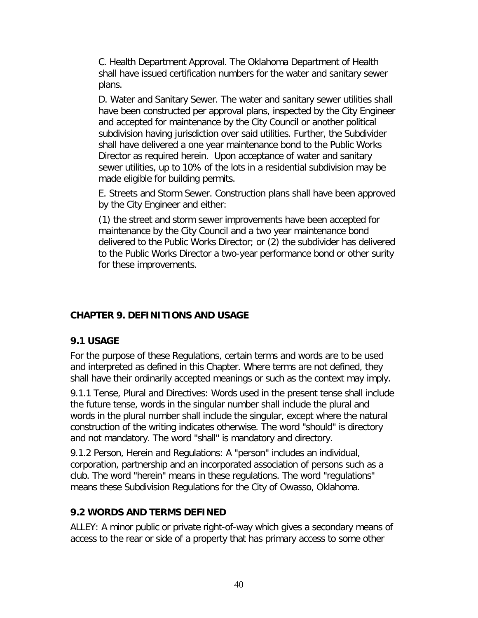C. Health Department Approval. The Oklahoma Department of Health shall have issued certification numbers for the water and sanitary sewer plans.

D. Water and Sanitary Sewer. The water and sanitary sewer utilities shall have been constructed per approval plans, inspected by the City Engineer and accepted for maintenance by the City Council or another political subdivision having jurisdiction over said utilities. Further, the Subdivider shall have delivered a one year maintenance bond to the Public Works Director as required herein. Upon acceptance of water and sanitary sewer utilities, up to 10% of the lots in a residential subdivision may be made eligible for building permits.

E. Streets and Storm Sewer. Construction plans shall have been approved by the City Engineer and either:

(1) the street and storm sewer improvements have been accepted for maintenance by the City Council and a two year maintenance bond delivered to the Public Works Director; or (2) the subdivider has delivered to the Public Works Director a two-year performance bond or other surity for these improvements.

## **CHAPTER 9. DEFINITIONS AND USAGE**

### **9.1 USAGE**

For the purpose of these Regulations, certain terms and words are to be used and interpreted as defined in this Chapter. Where terms are not defined, they shall have their ordinarily accepted meanings or such as the context may imply.

9.1.1 Tense, Plural and Directives: Words used in the present tense shall include the future tense, words in the singular number shall include the plural and words in the plural number shall include the singular, except where the natural construction of the writing indicates otherwise. The word "should" is directory and not mandatory. The word "shall" is mandatory and directory.

9.1.2 Person, Herein and Regulations: A "person" includes an individual, corporation, partnership and an incorporated association of persons such as a club. The word "herein" means in these regulations. The word "regulations" means these Subdivision Regulations for the City of Owasso, Oklahoma.

### **9.2 WORDS AND TERMS DEFINED**

ALLEY: A minor public or private right-of-way which gives a secondary means of access to the rear or side of a property that has primary access to some other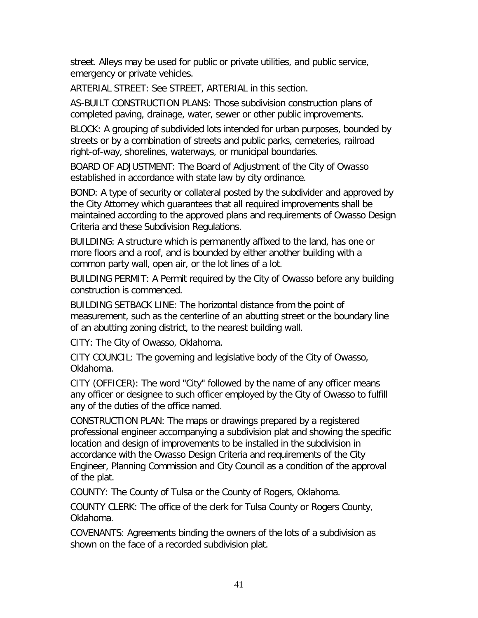street. Alleys may be used for public or private utilities, and public service, emergency or private vehicles.

ARTERIAL STREET: See STREET, ARTERIAL in this section.

AS-BUILT CONSTRUCTION PLANS: Those subdivision construction plans of completed paving, drainage, water, sewer or other public improvements.

BLOCK: A grouping of subdivided lots intended for urban purposes, bounded by streets or by a combination of streets and public parks, cemeteries, railroad right-of-way, shorelines, waterways, or municipal boundaries.

BOARD OF ADJUSTMENT: The Board of Adjustment of the City of Owasso established in accordance with state law by city ordinance.

BOND: A type of security or collateral posted by the subdivider and approved by the City Attorney which guarantees that all required improvements shall be maintained according to the approved plans and requirements of Owasso Design Criteria and these Subdivision Regulations.

BUILDING: A structure which is permanently affixed to the land, has one or more floors and a roof, and is bounded by either another building with a common party wall, open air, or the lot lines of a lot.

BUILDING PERMIT: A Permit required by the City of Owasso before any building construction is commenced.

BUILDING SETBACK LINE: The horizontal distance from the point of measurement, such as the centerline of an abutting street or the boundary line of an abutting zoning district, to the nearest building wall.

CITY: The City of Owasso, Oklahoma.

CITY COUNCIL: The governing and legislative body of the City of Owasso, Oklahoma.

CITY (OFFICER): The word "City" followed by the name of any officer means any officer or designee to such officer employed by the City of Owasso to fulfill any of the duties of the office named.

CONSTRUCTION PLAN: The maps or drawings prepared by a registered professional engineer accompanying a subdivision plat and showing the specific location and design of improvements to be installed in the subdivision in accordance with the Owasso Design Criteria and requirements of the City Engineer, Planning Commission and City Council as a condition of the approval of the plat.

COUNTY: The County of Tulsa or the County of Rogers, Oklahoma.

COUNTY CLERK: The office of the clerk for Tulsa County or Rogers County, Oklahoma.

COVENANTS: Agreements binding the owners of the lots of a subdivision as shown on the face of a recorded subdivision plat.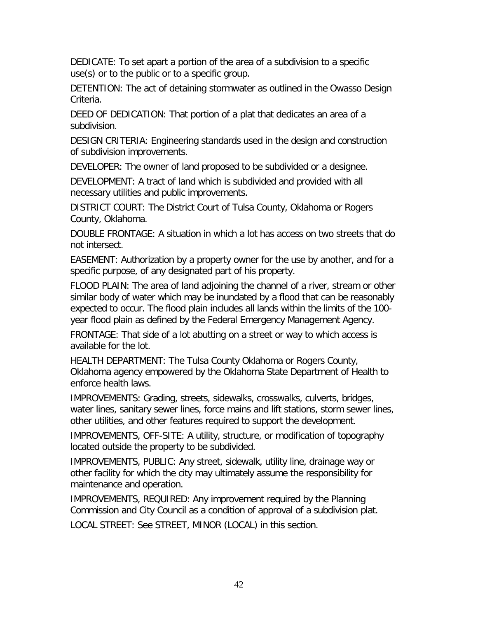DEDICATE: To set apart a portion of the area of a subdivision to a specific use(s) or to the public or to a specific group.

DETENTION: The act of detaining stormwater as outlined in the Owasso Design Criteria.

DEED OF DEDICATION: That portion of a plat that dedicates an area of a subdivision.

DESIGN CRITERIA: Engineering standards used in the design and construction of subdivision improvements.

DEVELOPER: The owner of land proposed to be subdivided or a designee.

DEVELOPMENT: A tract of land which is subdivided and provided with all necessary utilities and public improvements.

DISTRICT COURT: The District Court of Tulsa County, Oklahoma or Rogers County, Oklahoma.

DOUBLE FRONTAGE: A situation in which a lot has access on two streets that do not intersect.

EASEMENT: Authorization by a property owner for the use by another, and for a specific purpose, of any designated part of his property.

FLOOD PLAIN: The area of land adjoining the channel of a river, stream or other similar body of water which may be inundated by a flood that can be reasonably expected to occur. The flood plain includes all lands within the limits of the 100 year flood plain as defined by the Federal Emergency Management Agency.

FRONTAGE: That side of a lot abutting on a street or way to which access is available for the lot.

HEALTH DEPARTMENT: The Tulsa County Oklahoma or Rogers County, Oklahoma agency empowered by the Oklahoma State Department of Health to enforce health laws.

IMPROVEMENTS: Grading, streets, sidewalks, crosswalks, culverts, bridges, water lines, sanitary sewer lines, force mains and lift stations, storm sewer lines, other utilities, and other features required to support the development.

IMPROVEMENTS, OFF-SITE: A utility, structure, or modification of topography located outside the property to be subdivided.

IMPROVEMENTS, PUBLIC: Any street, sidewalk, utility line, drainage way or other facility for which the city may ultimately assume the responsibility for maintenance and operation.

IMPROVEMENTS, REQUIRED: Any improvement required by the Planning Commission and City Council as a condition of approval of a subdivision plat. LOCAL STREET: See STREET, MINOR (LOCAL) in this section.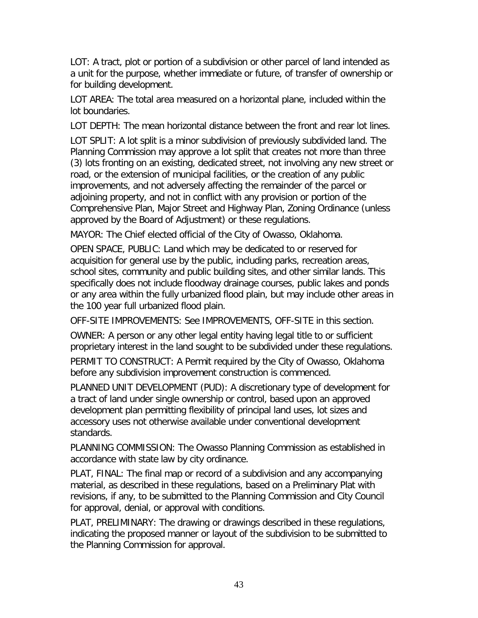LOT: A tract, plot or portion of a subdivision or other parcel of land intended as a unit for the purpose, whether immediate or future, of transfer of ownership or for building development.

LOT AREA: The total area measured on a horizontal plane, included within the lot boundaries.

LOT DEPTH: The mean horizontal distance between the front and rear lot lines.

LOT SPLIT: A lot split is a minor subdivision of previously subdivided land. The Planning Commission may approve a lot split that creates not more than three (3) lots fronting on an existing, dedicated street, not involving any new street or road, or the extension of municipal facilities, or the creation of any public improvements, and not adversely affecting the remainder of the parcel or adjoining property, and not in conflict with any provision or portion of the Comprehensive Plan, Major Street and Highway Plan, Zoning Ordinance (unless approved by the Board of Adjustment) or these regulations.

MAYOR: The Chief elected official of the City of Owasso, Oklahoma.

OPEN SPACE, PUBLIC: Land which may be dedicated to or reserved for acquisition for general use by the public, including parks, recreation areas, school sites, community and public building sites, and other similar lands. This specifically does not include floodway drainage courses, public lakes and ponds or any area within the fully urbanized flood plain, but may include other areas in the 100 year full urbanized flood plain.

OFF-SITE IMPROVEMENTS: See IMPROVEMENTS, OFF-SITE in this section.

OWNER: A person or any other legal entity having legal title to or sufficient proprietary interest in the land sought to be subdivided under these regulations.

PERMIT TO CONSTRUCT: A Permit required by the City of Owasso, Oklahoma before any subdivision improvement construction is commenced.

PLANNED UNIT DEVELOPMENT (PUD): A discretionary type of development for a tract of land under single ownership or control, based upon an approved development plan permitting flexibility of principal land uses, lot sizes and accessory uses not otherwise available under conventional development standards.

PLANNING COMMISSION: The Owasso Planning Commission as established in accordance with state law by city ordinance.

PLAT, FINAL: The final map or record of a subdivision and any accompanying material, as described in these regulations, based on a Preliminary Plat with revisions, if any, to be submitted to the Planning Commission and City Council for approval, denial, or approval with conditions.

PLAT, PRELIMINARY: The drawing or drawings described in these regulations, indicating the proposed manner or layout of the subdivision to be submitted to the Planning Commission for approval.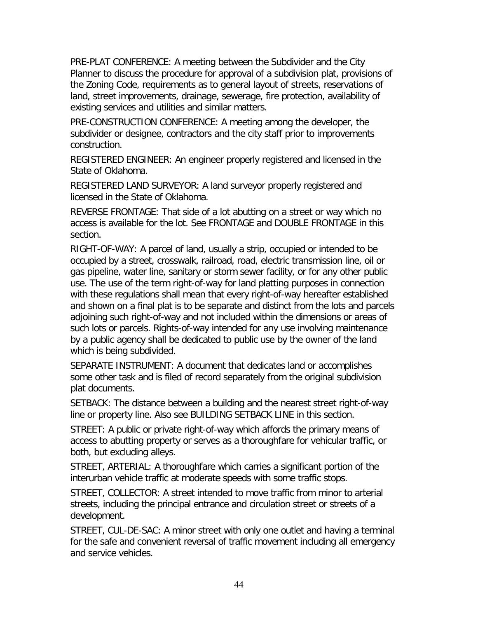PRE-PLAT CONFERENCE: A meeting between the Subdivider and the City Planner to discuss the procedure for approval of a subdivision plat, provisions of the Zoning Code, requirements as to general layout of streets, reservations of land, street improvements, drainage, sewerage, fire protection, availability of existing services and utilities and similar matters.

PRE-CONSTRUCTION CONFERENCE: A meeting among the developer, the subdivider or designee, contractors and the city staff prior to improvements construction.

REGISTERED ENGINEER: An engineer properly registered and licensed in the State of Oklahoma.

REGISTERED LAND SURVEYOR: A land surveyor properly registered and licensed in the State of Oklahoma.

REVERSE FRONTAGE: That side of a lot abutting on a street or way which no access is available for the lot. See FRONTAGE and DOUBLE FRONTAGE in this section.

RIGHT-OF-WAY: A parcel of land, usually a strip, occupied or intended to be occupied by a street, crosswalk, railroad, road, electric transmission line, oil or gas pipeline, water line, sanitary or storm sewer facility, or for any other public use. The use of the term right-of-way for land platting purposes in connection with these regulations shall mean that every right-of-way hereafter established and shown on a final plat is to be separate and distinct from the lots and parcels adjoining such right-of-way and not included within the dimensions or areas of such lots or parcels. Rights-of-way intended for any use involving maintenance by a public agency shall be dedicated to public use by the owner of the land which is being subdivided.

SEPARATE INSTRUMENT: A document that dedicates land or accomplishes some other task and is filed of record separately from the original subdivision plat documents.

SETBACK: The distance between a building and the nearest street right-of-way line or property line. Also see BUILDING SETBACK LINE in this section.

STREET: A public or private right-of-way which affords the primary means of access to abutting property or serves as a thoroughfare for vehicular traffic, or both, but excluding alleys.

STREET, ARTERIAL: A thoroughfare which carries a significant portion of the interurban vehicle traffic at moderate speeds with some traffic stops.

STREET, COLLECTOR: A street intended to move traffic from minor to arterial streets, including the principal entrance and circulation street or streets of a development.

STREET, CUL-DE-SAC: A minor street with only one outlet and having a terminal for the safe and convenient reversal of traffic movement including all emergency and service vehicles.